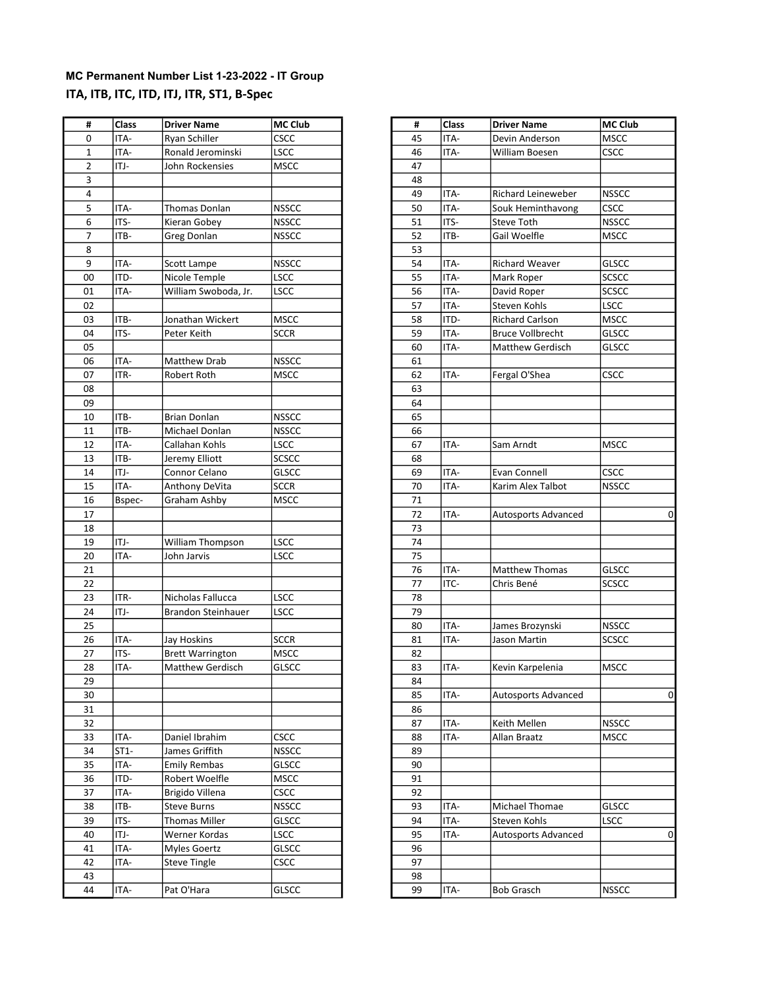### MC Permanent Number List 1-23-2022 - IT Group ITA, ITB, ITC, ITD, ITJ, ITR, ST1, B-Spec

| #              | Class  | <b>Driver Name</b>        | <b>MC Club</b> | #  | Class | <b>Driver Name</b>         | <b>MC Cli</b> |
|----------------|--------|---------------------------|----------------|----|-------|----------------------------|---------------|
| 0              | ITA-   | Ryan Schiller             | CSCC           | 45 | ITA-  | Devin Anderson             | <b>MSCC</b>   |
| $\mathbf{1}$   | ITA-   | Ronald Jerominski         | LSCC           | 46 | ITA-  | William Boesen             | <b>CSCC</b>   |
| $\overline{2}$ | ITJ-   | John Rockensies           | <b>MSCC</b>    | 47 |       |                            |               |
| 3              |        |                           |                | 48 |       |                            |               |
| 4              |        |                           |                | 49 | ITA-  | Richard Leineweber         | <b>NSSCC</b>  |
| 5              | ITA-   | <b>Thomas Donlan</b>      | <b>NSSCC</b>   | 50 | ITA-  | Souk Heminthavong          | <b>CSCC</b>   |
| 6              | ITS-   | Kieran Gobey              | <b>NSSCC</b>   | 51 | ITS-  | Steve Toth                 | <b>NSSCC</b>  |
| $\overline{7}$ | ITB-   | <b>Greg Donlan</b>        | <b>NSSCC</b>   | 52 | ITB-  | Gail Woelfle               | <b>MSCC</b>   |
| 8              |        |                           |                | 53 |       |                            |               |
| 9              | ITA-   | Scott Lampe               | <b>NSSCC</b>   | 54 | ITA-  | <b>Richard Weaver</b>      | GLSCC         |
| 00             | ITD-   | Nicole Temple             | <b>LSCC</b>    | 55 | ITA-  | Mark Roper                 | <b>SCSCC</b>  |
| 01             | ITA-   | William Swoboda, Jr.      | LSCC           | 56 | ITA-  | David Roper                | SCSCC         |
| 02             |        |                           |                | 57 | ITA-  | Steven Kohls               | LSCC          |
| 03             | ITB-   | Jonathan Wickert          | <b>MSCC</b>    | 58 | ITD-  | <b>Richard Carlson</b>     | <b>MSCC</b>   |
| 04             | ITS-   | Peter Keith               | <b>SCCR</b>    | 59 | ITA-  | <b>Bruce Vollbrecht</b>    | <b>GLSCC</b>  |
| 05             |        |                           |                | 60 | ITA-  | <b>Matthew Gerdisch</b>    | GLSCC         |
| 06             | ITA-   | Matthew Drab              | <b>NSSCC</b>   | 61 |       |                            |               |
| 07             | ITR-   | Robert Roth               | <b>MSCC</b>    | 62 | ITA-  | Fergal O'Shea              | <b>CSCC</b>   |
| 08             |        |                           |                | 63 |       |                            |               |
| 09             |        |                           |                | 64 |       |                            |               |
| 10             | ITB-   | <b>Brian Donlan</b>       | <b>NSSCC</b>   | 65 |       |                            |               |
| 11             | ITB-   | Michael Donlan            | <b>NSSCC</b>   | 66 |       |                            |               |
| 12             | ITA-   | Callahan Kohls            | LSCC           | 67 | ITA-  | Sam Arndt                  | <b>MSCC</b>   |
| 13             | ITB-   | Jeremy Elliott            | SCSCC          | 68 |       |                            |               |
| 14             | ITJ-   | Connor Celano             | <b>GLSCC</b>   | 69 | ITA-  | Evan Connell               | <b>CSCC</b>   |
| 15             | ITA-   | Anthony DeVita            | <b>SCCR</b>    | 70 | ITA-  | Karim Alex Talbot          | <b>NSSCC</b>  |
| 16             |        |                           | <b>MSCC</b>    | 71 |       |                            |               |
|                | Bspec- | Graham Ashby              |                | 72 | ITA-  |                            |               |
| 17             |        |                           |                |    |       | <b>Autosports Advanced</b> |               |
| 18             |        |                           |                | 73 |       |                            |               |
| 19             | ITJ-   | William Thompson          | LSCC           | 74 |       |                            |               |
| 20             | ITA-   | John Jarvis               | LSCC           | 75 |       |                            |               |
| 21             |        |                           |                | 76 | ITA-  | Matthew Thomas             | <b>GLSCC</b>  |
| 22             |        |                           |                | 77 | ITC-  | Chris Bené                 | <b>SCSCC</b>  |
| 23             | ITR-   | Nicholas Fallucca         | <b>LSCC</b>    | 78 |       |                            |               |
| 24             | ITJ-   | <b>Brandon Steinhauer</b> | LSCC           | 79 |       |                            |               |
| 25             |        |                           |                | 80 | ITA-  | James Brozynski            | <b>NSSCC</b>  |
| 26             | ITA-   | Jay Hoskins               | SCCR           | 81 | ITA-  | Jason Martin               | SCSCC         |
| 27             | ITS-   | <b>Brett Warrington</b>   | <b>MSCC</b>    | 82 |       |                            |               |
| 28             | ITA-   | Matthew Gerdisch          | <b>GLSCC</b>   | 83 | ITA-  | Kevin Karpelenia           | <b>MSCC</b>   |
| 29             |        |                           |                | 84 |       |                            |               |
| 30             |        |                           |                | 85 | ITA-  | Autosports Advanced        |               |
| 31             |        |                           |                | 86 |       |                            |               |
| 32             |        |                           |                | 87 | ITA-  | Keith Mellen               | <b>NSSCC</b>  |
| 33             | ITA-   | Daniel Ibrahim            | <b>CSCC</b>    | 88 | ITA-  | Allan Braatz               | <b>MSCC</b>   |
| 34             | $ST1-$ | James Griffith            | <b>NSSCC</b>   | 89 |       |                            |               |
| 35             | ITA-   | <b>Emily Rembas</b>       | GLSCC          | 90 |       |                            |               |
| 36             | ITD-   | Robert Woelfle            | MSCC           | 91 |       |                            |               |
| 37             | ITA-   | Brigido Villena           | <b>CSCC</b>    | 92 |       |                            |               |
| 38             | ITB-   | <b>Steve Burns</b>        | <b>NSSCC</b>   | 93 | ITA-  | Michael Thomae             | GLSCC         |
| 39             | ITS-   | Thomas Miller             | <b>GLSCC</b>   | 94 | ITA-  | Steven Kohls               | LSCC          |
| 40             | ITJ-   | Werner Kordas             | LSCC           | 95 | ITA-  | <b>Autosports Advanced</b> |               |
| 41             | ITA-   | <b>Myles Goertz</b>       | GLSCC          | 96 |       |                            |               |
| 42             | ITA-   | <b>Steve Tingle</b>       | <b>CSCC</b>    | 97 |       |                            |               |
| 43             |        |                           |                | 98 |       |                            |               |
| 44             | ITA-   | Pat O'Hara                | GLSCC          | 99 | ITA-  | <b>Bob Grasch</b>          | <b>NSSCC</b>  |
|                |        |                           |                |    |       |                            |               |

| #                        | Class        | <b>Driver Name</b>                    | <b>MC Club</b>       |
|--------------------------|--------------|---------------------------------------|----------------------|
| 0                        | ITA-         | Ryan Schiller                         | <b>CSCC</b>          |
| $\mathbf 1$              | ITA-         | Ronald Jerominski                     | <b>LSCC</b>          |
| $\overline{2}$           | ITJ-         | John Rockensies                       | <b>MSCC</b>          |
| $\overline{\mathbf{3}}$  |              |                                       |                      |
| $\overline{4}$           |              |                                       |                      |
| $\sf 5$                  | ITA-         | Thomas Donlan                         | <b>NSSCC</b>         |
| $\boldsymbol{6}$         | ITS-         | Kieran Gobey                          | <b>NSSCC</b>         |
| $\overline{\phantom{a}}$ | ITB-         | Greg Donlan                           | <b>NSSCC</b>         |
| 8                        |              |                                       |                      |
| $\overline{9}$           | ITA-         | Scott Lampe                           | <b>NSSCC</b>         |
| $\overline{00}$          | ITD-         | Nicole Temple                         | LSCC                 |
| 01                       | ITA-         | William Swoboda, Jr.                  | <b>LSCC</b>          |
| 02                       |              |                                       |                      |
| 03                       | ITB-         | Jonathan Wickert                      | <b>MSCC</b>          |
| 04                       | ITS-         | Peter Keith                           | <b>SCCR</b>          |
| 05                       |              |                                       |                      |
| 06                       | ITA-         | Matthew Drab                          | <b>NSSCC</b>         |
| 07                       | ITR-         | Robert Roth                           | <b>MSCC</b>          |
| 08                       |              |                                       |                      |
| 09                       |              |                                       |                      |
| 10                       | ITB-         | Brian Donlan                          | <b>NSSCC</b>         |
| 11                       | ITB-         | Michael Donlan                        | <b>NSSCC</b>         |
| 12                       | ITA-         | Callahan Kohls                        | <b>LSCC</b>          |
| 13                       | ITB-         | Jeremy Elliott                        | <b>SCSCC</b>         |
| 14                       | ITJ-         | Connor Celano                         | <b>GLSCC</b>         |
| $\overline{15}$          | ITA-         | Anthony DeVita                        | <b>SCCR</b>          |
| 16                       | Bspec-       | Graham Ashby                          | <b>MSCC</b>          |
| 17                       |              |                                       |                      |
| 18                       |              |                                       |                      |
| 19                       | ITJ-         | William Thompson                      | LSCC                 |
| 20                       | ITA-         | John Jarvis                           | LSCC                 |
| 21                       |              |                                       |                      |
| 22                       |              |                                       |                      |
| 23                       | ITR-         | Nicholas Fallucca                     | LSCC                 |
| 24                       | ITJ-         | Brandon Steinhauer                    | LSCC                 |
| 25                       |              |                                       |                      |
| 26                       | ITA-         | Jay Hoskins                           | <b>SCCR</b>          |
| 27                       | ITS-         | <b>Brett Warrington</b>               | <b>MSCC</b>          |
| 28                       | ITA-         | <b>Matthew Gerdisch</b>               | <b>GLSCC</b>         |
| 29                       |              |                                       |                      |
| 30                       |              |                                       |                      |
| 31                       |              |                                       |                      |
| 32                       |              |                                       |                      |
| 33                       | ITA-         | Daniel Ibrahim                        | <b>CSCC</b>          |
| 34                       | $ST1-$       | James Griffith                        | <b>NSSCC</b>         |
|                          |              |                                       |                      |
| 35<br>36                 | ITA-<br>ITD- | <b>Emily Rembas</b><br>Robert Woelfle | GLSCC<br><b>MSCC</b> |
|                          |              |                                       |                      |
| 37                       | ITA-         | Brigido Villena                       | <b>CSCC</b>          |
| 38                       | ITB-         | <b>Steve Burns</b>                    | <b>NSSCC</b>         |
| 39                       | ITS-         | <b>Thomas Miller</b>                  | <b>GLSCC</b>         |
| 40                       | ITJ-         | Werner Kordas                         | <b>LSCC</b>          |
| 41                       | ITA-         | <b>Myles Goertz</b>                   | <b>GLSCC</b>         |
| 42                       | ITA-         | <b>Steve Tingle</b>                   | <b>CSCC</b>          |
| 43                       |              |                                       |                      |
| 44                       | ITA-         | Pat O'Hara                            | <b>GLSCC</b>         |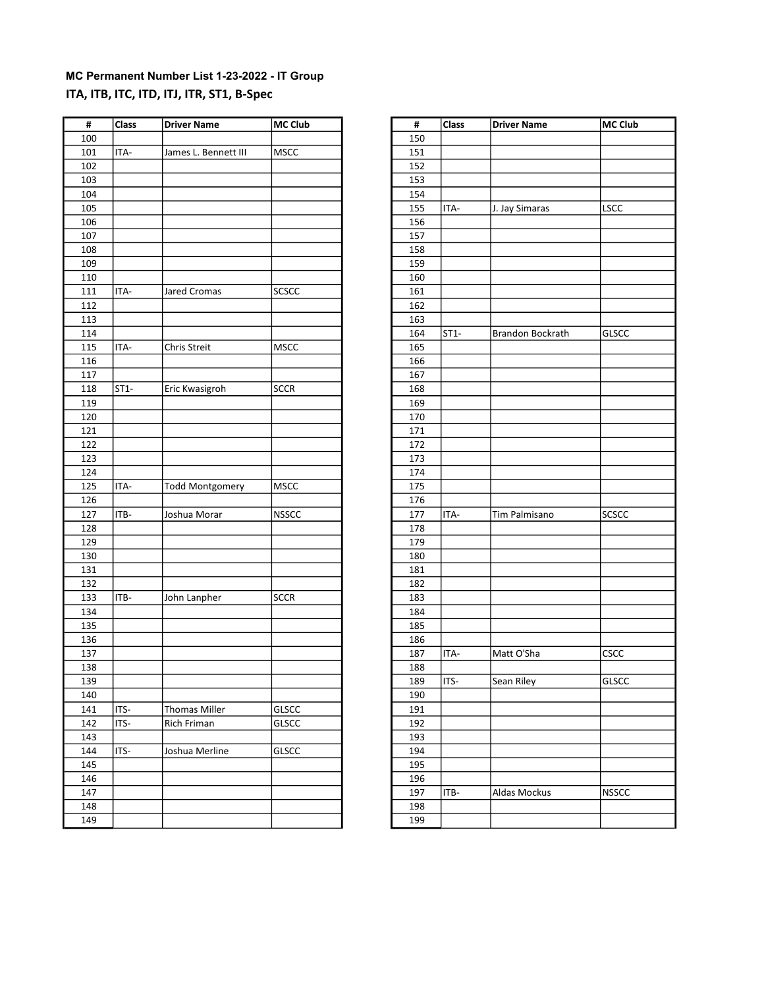### MC Permanent Number List 1-23-2022 - IT Group ITA, ITB, ITC, ITD, ITJ, ITR, ST1, B-Spec

| #   | <b>Class</b> | Driver Name            | <b>MC Club</b> | #   | <b>Class</b> | <b>Driver Name</b> | MC Club      |
|-----|--------------|------------------------|----------------|-----|--------------|--------------------|--------------|
| 100 |              |                        |                | 150 |              |                    |              |
| 101 | ITA-         | James L. Bennett III   | MSCC           | 151 |              |                    |              |
| 102 |              |                        |                | 152 |              |                    |              |
| 103 |              |                        |                | 153 |              |                    |              |
| 104 |              |                        |                | 154 |              |                    |              |
| 105 |              |                        |                | 155 | ITA-         | J. Jay Simaras     | LSCC         |
| 106 |              |                        |                | 156 |              |                    |              |
| 107 |              |                        |                | 157 |              |                    |              |
| 108 |              |                        |                | 158 |              |                    |              |
| 109 |              |                        |                | 159 |              |                    |              |
| 110 |              |                        |                | 160 |              |                    |              |
| 111 | ITA-         | Jared Cromas           | SCSCC          | 161 |              |                    |              |
| 112 |              |                        |                | 162 |              |                    |              |
| 113 |              |                        |                | 163 |              |                    |              |
| 114 |              |                        |                | 164 | $ST1-$       | Brandon Bockrath   | <b>GLSCC</b> |
| 115 | ITA-         | Chris Streit           | <b>MSCC</b>    | 165 |              |                    |              |
| 116 |              |                        |                | 166 |              |                    |              |
| 117 |              |                        |                | 167 |              |                    |              |
| 118 | $ST1-$       | Eric Kwasigroh         | <b>SCCR</b>    | 168 |              |                    |              |
| 119 |              |                        |                | 169 |              |                    |              |
|     |              |                        |                |     |              |                    |              |
| 120 |              |                        |                | 170 |              |                    |              |
| 121 |              |                        |                | 171 |              |                    |              |
| 122 |              |                        |                | 172 |              |                    |              |
| 123 |              |                        |                | 173 |              |                    |              |
| 124 |              |                        |                | 174 |              |                    |              |
| 125 | ITA-         | <b>Todd Montgomery</b> | <b>MSCC</b>    | 175 |              |                    |              |
| 126 |              |                        |                | 176 |              |                    |              |
| 127 | ITB-         | Joshua Morar           | <b>NSSCC</b>   | 177 | ITA-         | Tim Palmisano      | <b>SCSCC</b> |
| 128 |              |                        |                | 178 |              |                    |              |
| 129 |              |                        |                | 179 |              |                    |              |
| 130 |              |                        |                | 180 |              |                    |              |
| 131 |              |                        |                | 181 |              |                    |              |
| 132 |              |                        |                | 182 |              |                    |              |
| 133 | ITB-         | John Lanpher           | <b>SCCR</b>    | 183 |              |                    |              |
| 134 |              |                        |                | 184 |              |                    |              |
| 135 |              |                        |                | 185 |              |                    |              |
| 136 |              |                        |                | 186 |              |                    |              |
| 137 |              |                        |                | 187 | ITA-         | Matt O'Sha         | CSCC         |
| 138 |              |                        |                | 188 |              |                    |              |
| 139 |              |                        |                | 189 | ITS-         | Sean Riley         | <b>GLSCC</b> |
| 140 |              |                        |                | 190 |              |                    |              |
| 141 | ITS-         | <b>Thomas Miller</b>   | GLSCC          | 191 |              |                    |              |
| 142 | ITS-         | Rich Friman            | GLSCC          | 192 |              |                    |              |
| 143 |              |                        |                | 193 |              |                    |              |
| 144 | ITS-         | Joshua Merline         | GLSCC          | 194 |              |                    |              |
| 145 |              |                        |                | 195 |              |                    |              |
| 146 |              |                        |                | 196 |              |                    |              |
| 147 |              |                        |                | 197 | ITB-         | Aldas Mockus       | <b>NSSCC</b> |
| 148 |              |                        |                | 198 |              |                    |              |
| 149 |              |                        |                | 199 |              |                    |              |
|     |              |                        |                |     |              |                    |              |

| #   | Class  | <b>Driver Name</b>      | <b>MC Club</b> |
|-----|--------|-------------------------|----------------|
| 150 |        |                         |                |
| 151 |        |                         |                |
| 152 |        |                         |                |
| 153 |        |                         |                |
| 154 |        |                         |                |
| 155 | ITA-   | J. Jay Simaras          | <b>LSCC</b>    |
| 156 |        |                         |                |
| 157 |        |                         |                |
| 158 |        |                         |                |
| 159 |        |                         |                |
| 160 |        |                         |                |
| 161 |        |                         |                |
| 162 |        |                         |                |
| 163 |        |                         |                |
| 164 | $ST1-$ | <b>Brandon Bockrath</b> | GLSCC          |
| 165 |        |                         |                |
| 166 |        |                         |                |
| 167 |        |                         |                |
| 168 |        |                         |                |
| 169 |        |                         |                |
| 170 |        |                         |                |
| 171 |        |                         |                |
| 172 |        |                         |                |
| 173 |        |                         |                |
| 174 |        |                         |                |
| 175 |        |                         |                |
| 176 |        |                         |                |
| 177 | ITA-   | Tim Palmisano           | SCSCC          |
| 178 |        |                         |                |
| 179 |        |                         |                |
| 180 |        |                         |                |
| 181 |        |                         |                |
| 182 |        |                         |                |
| 183 |        |                         |                |
| 184 |        |                         |                |
| 185 |        |                         |                |
| 186 |        |                         |                |
| 187 | ITA-   | Matt O'Sha              | <b>CSCC</b>    |
| 188 |        |                         |                |
| 189 | ITS-   | Sean Riley              | <b>GLSCC</b>   |
| 190 |        |                         |                |
| 191 |        |                         |                |
| 192 |        |                         |                |
| 193 |        |                         |                |
| 194 |        |                         |                |
| 195 |        |                         |                |
| 196 |        |                         |                |
| 197 | ITB-   | Aldas Mockus            | <b>NSSCC</b>   |
| 198 |        |                         |                |
| 199 |        |                         |                |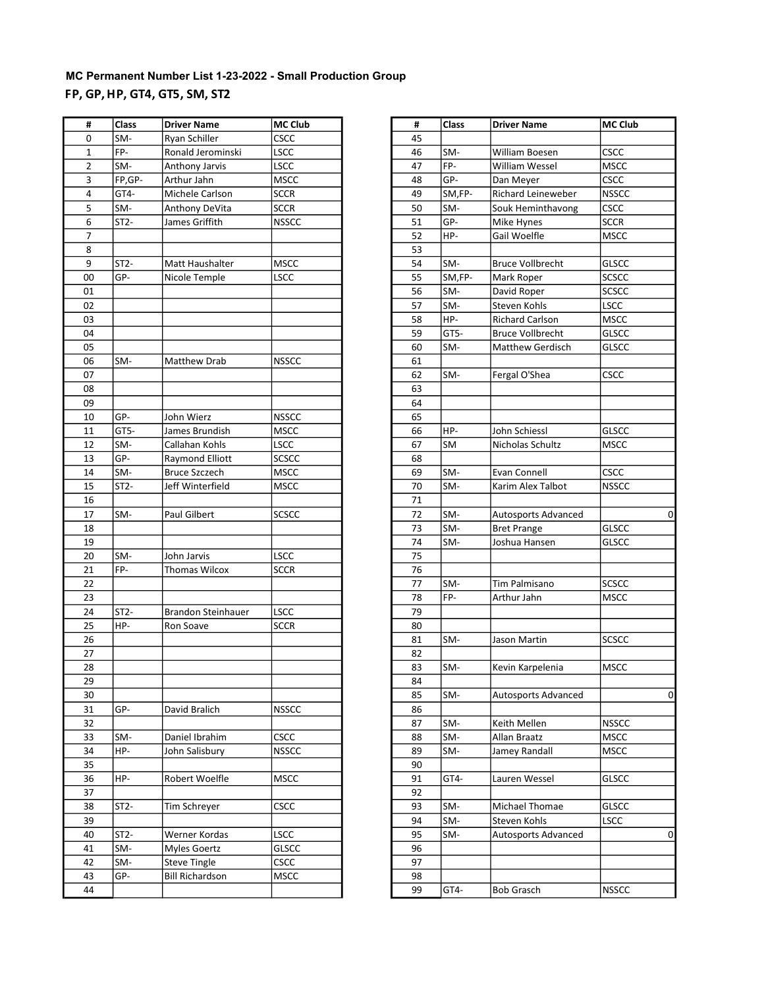# MC Permanent Number List 1-23-2022 - Small Production Group FP, GP, HP, GT4, GT5, SM, ST2

| #  | Class             | <b>Driver Name</b>        | MC Club      | #  | Class  | <b>Driver Name</b>         | MC Club      |
|----|-------------------|---------------------------|--------------|----|--------|----------------------------|--------------|
| 0  | SM-               | Ryan Schiller             | <b>CSCC</b>  | 45 |        |                            |              |
| 1  | FP-               | Ronald Jerominski         | <b>LSCC</b>  | 46 | SM-    | William Boesen             | <b>CSCC</b>  |
| 2  | SM-               | Anthony Jarvis            | <b>LSCC</b>  | 47 | FP-    | William Wessel             | <b>MSCC</b>  |
| 3  | FP,GP-            | Arthur Jahn               | <b>MSCC</b>  | 48 | GP-    | Dan Meyer                  | CSCC         |
| 4  | GT4-              | Michele Carlson           | <b>SCCR</b>  | 49 | SM,FP- | <b>Richard Leineweber</b>  | <b>NSSCC</b> |
| 5  | SM-               | Anthony DeVita            | <b>SCCR</b>  | 50 | SM-    | Souk Heminthavong          | CSCC         |
| 6  | $ST2-$            | James Griffith            | <b>NSSCC</b> | 51 | GP-    | Mike Hynes                 | <b>SCCR</b>  |
| 7  |                   |                           |              | 52 | HP-    | Gail Woelfle               | <b>MSCC</b>  |
| 8  |                   |                           |              | 53 |        |                            |              |
| 9  | $ST2-$            | Matt Haushalter           | <b>MSCC</b>  | 54 | SM-    | <b>Bruce Vollbrecht</b>    | <b>GLSCC</b> |
| 00 | GP-               | Nicole Temple             | <b>LSCC</b>  | 55 | SM,FP- | Mark Roper                 | SCSCC        |
| 01 |                   |                           |              | 56 | SM-    | David Roper                | <b>SCSCC</b> |
| 02 |                   |                           |              | 57 | SM-    | Steven Kohls               | <b>LSCC</b>  |
| 03 |                   |                           |              | 58 | HP-    | <b>Richard Carlson</b>     | <b>MSCC</b>  |
| 04 |                   |                           |              | 59 | GT5-   | <b>Bruce Vollbrecht</b>    | <b>GLSCC</b> |
| 05 |                   |                           |              | 60 | SM-    | Matthew Gerdisch           | <b>GLSCC</b> |
| 06 | SM-               | Matthew Drab              | <b>NSSCC</b> | 61 |        |                            |              |
| 07 |                   |                           |              | 62 | SM-    | Fergal O'Shea              | CSCC         |
| 08 |                   |                           |              | 63 |        |                            |              |
| 09 |                   |                           |              | 64 |        |                            |              |
| 10 | GP-               | John Wierz                | <b>NSSCC</b> | 65 |        |                            |              |
| 11 | GT5-              | James Brundish            | <b>MSCC</b>  | 66 | HP-    | John Schiessl              | <b>GLSCC</b> |
| 12 | SM-               | Callahan Kohls            | <b>LSCC</b>  | 67 | SM     | Nicholas Schultz           | <b>MSCC</b>  |
| 13 | GP-               | Raymond Elliott           | <b>SCSCC</b> | 68 |        |                            |              |
| 14 | SM-               | <b>Bruce Szczech</b>      | <b>MSCC</b>  | 69 | SM-    | Evan Connell               | CSCC         |
| 15 | ST2-              | Jeff Winterfield          | <b>MSCC</b>  | 70 | SM-    | Karim Alex Talbot          | <b>NSSCC</b> |
| 16 |                   |                           |              | 71 |        |                            |              |
| 17 | SM-               | Paul Gilbert              | <b>SCSCC</b> | 72 | SM-    | Autosports Advanced        |              |
| 18 |                   |                           |              | 73 | SM-    | <b>Bret Prange</b>         | <b>GLSCC</b> |
| 19 |                   |                           |              | 74 | SM-    | Joshua Hansen              | <b>GLSCC</b> |
| 20 | SM-               | John Jarvis               | <b>LSCC</b>  | 75 |        |                            |              |
| 21 | FP-               | Thomas Wilcox             | <b>SCCR</b>  | 76 |        |                            |              |
| 22 |                   |                           |              | 77 | SM-    | Tim Palmisano              | <b>SCSCC</b> |
| 23 |                   |                           |              | 78 | FP-    | Arthur Jahn                | <b>MSCC</b>  |
| 24 | $ST2-$            | <b>Brandon Steinhauer</b> | <b>LSCC</b>  | 79 |        |                            |              |
| 25 | HP-               | Ron Soave                 | <b>SCCR</b>  | 80 |        |                            |              |
| 26 |                   |                           |              | 81 | SM-    | Jason Martin               | <b>SCSCC</b> |
| 27 |                   |                           |              | 82 |        |                            |              |
| 28 |                   |                           |              | 83 | SM-    | Kevin Karpelenia           | <b>MSCC</b>  |
| 29 |                   |                           |              | 84 |        |                            |              |
| 30 |                   |                           |              | 85 | SM-    | <b>Autosports Advanced</b> |              |
| 31 | GP-               | David Bralich             | <b>NSSCC</b> | 86 |        |                            |              |
| 32 |                   |                           |              | 87 | SM-    | Keith Mellen               | <b>NSSCC</b> |
| 33 | SM-               | Daniel Ibrahim            | <b>CSCC</b>  | 88 | SM-    | Allan Braatz               | <b>MSCC</b>  |
| 34 | HP-               | John Salisbury            | <b>NSSCC</b> | 89 | SM-    | Jamey Randall              | <b>MSCC</b>  |
| 35 |                   |                           |              | 90 |        |                            |              |
| 36 | HP-               | Robert Woelfle            | <b>MSCC</b>  | 91 | GT4-   | Lauren Wessel              | <b>GLSCC</b> |
| 37 |                   |                           |              | 92 |        |                            |              |
| 38 | ST <sub>2</sub> - | Tim Schreyer              | <b>CSCC</b>  | 93 | SM-    | Michael Thomae             | <b>GLSCC</b> |
| 39 |                   |                           |              | 94 | SM-    | Steven Kohls               | <b>LSCC</b>  |
| 40 | $ST2-$            | Werner Kordas             | <b>LSCC</b>  | 95 | SM-    | Autosports Advanced        |              |
| 41 | SM-               | Myles Goertz              | <b>GLSCC</b> | 96 |        |                            |              |
| 42 | SM-               | <b>Steve Tingle</b>       | <b>CSCC</b>  | 97 |        |                            |              |
| 43 | GP-               | <b>Bill Richardson</b>    | <b>MSCC</b>  | 98 |        |                            |              |
| 44 |                   |                           |              | 99 | GT4-   | <b>Bob Grasch</b>          | <b>NSSCC</b> |

| #                         | Class             | <b>Driver Name</b>        | <b>MC Club</b> |
|---------------------------|-------------------|---------------------------|----------------|
| $\pmb{0}$                 | SM-               | Ryan Schiller             | CSCC           |
| $\mathbf 1$               | FP-               | Ronald Jerominski         | <b>LSCC</b>    |
| $\mathbf 2$               | SM-               | Anthony Jarvis            | <b>LSCC</b>    |
| $\ensuremath{\mathsf{3}}$ | FP,GP-            | Arthur Jahn               | <b>MSCC</b>    |
| $\pmb{4}$                 | GT4-              | Michele Carlson           | <b>SCCR</b>    |
| $\overline{\phantom{a}}$  | SM-               | Anthony DeVita            | <b>SCCR</b>    |
| $\overline{6}$            | ST <sub>2</sub> - | James Griffith            | <b>NSSCC</b>   |
| $\overline{7}$            |                   |                           |                |
| 8                         |                   |                           |                |
| $\boldsymbol{9}$          | $ST2-$            | Matt Haushalter           | <b>MSCC</b>    |
| 00                        | GP-               | Nicole Temple             | <b>LSCC</b>    |
| 01                        |                   |                           |                |
| 02                        |                   |                           |                |
| 03                        |                   |                           |                |
|                           |                   |                           |                |
| 04                        |                   |                           |                |
| 05                        |                   |                           |                |
| 06                        | SM-               | Matthew Drab              | <b>NSSCC</b>   |
| 07                        |                   |                           |                |
| 80                        |                   |                           |                |
| 09                        |                   |                           |                |
| 10                        | GP-               | John Wierz                | <b>NSSCC</b>   |
| 11                        | GT5-              | James Brundish            | <b>MSCC</b>    |
| 12                        | SM-               | Callahan Kohls            | <b>LSCC</b>    |
| 13                        | GP-               | Raymond Elliott           | <b>SCSCC</b>   |
| 14                        | SM-               | <b>Bruce Szczech</b>      | <b>MSCC</b>    |
| 15                        | $ST2-$            | Jeff Winterfield          | <b>MSCC</b>    |
| 16                        |                   |                           |                |
| 17                        | SM-               | Paul Gilbert              | SCSCC          |
| 18                        |                   |                           |                |
| 19                        |                   |                           |                |
| $\overline{20}$           | SM-               | John Jarvis               | <b>LSCC</b>    |
| 21                        | FP-               | <b>Thomas Wilcox</b>      | SCCR           |
| 22                        |                   |                           |                |
|                           |                   |                           |                |
| 23                        |                   |                           |                |
| 24                        | $ST2-$            | <b>Brandon Steinhauer</b> | LSCC           |
| 25                        | HP-               | Ron Soave                 | SCCR           |
| 26                        |                   |                           |                |
| $\overline{27}$           |                   |                           |                |
| 28                        |                   |                           |                |
| 29                        |                   |                           |                |
| 30                        |                   |                           |                |
| 31                        | GP-               | David Bralich             | <b>NSSCC</b>   |
| 32                        |                   |                           |                |
| 33                        | SM-               | Daniel Ibrahim            | <b>CSCC</b>    |
| 34                        | HP-               | John Salisbury            | <b>NSSCC</b>   |
| 35                        |                   |                           |                |
| 36                        | HP-               | Robert Woelfle            | <b>MSCC</b>    |
| 37                        |                   |                           |                |
| 38                        | $ST2-$            | Tim Schreyer              | <b>CSCC</b>    |
| 39                        |                   |                           |                |
| 40                        | $ST2-$            | Werner Kordas             | LSCC           |
| 41                        | SM-               | <b>Myles Goertz</b>       | <b>GLSCC</b>   |
|                           |                   |                           |                |
| 42                        | SM-               | <b>Steve Tingle</b>       | <b>CSCC</b>    |
| 43                        | GP-               | <b>Bill Richardson</b>    | <b>MSCC</b>    |
| 44                        |                   |                           |                |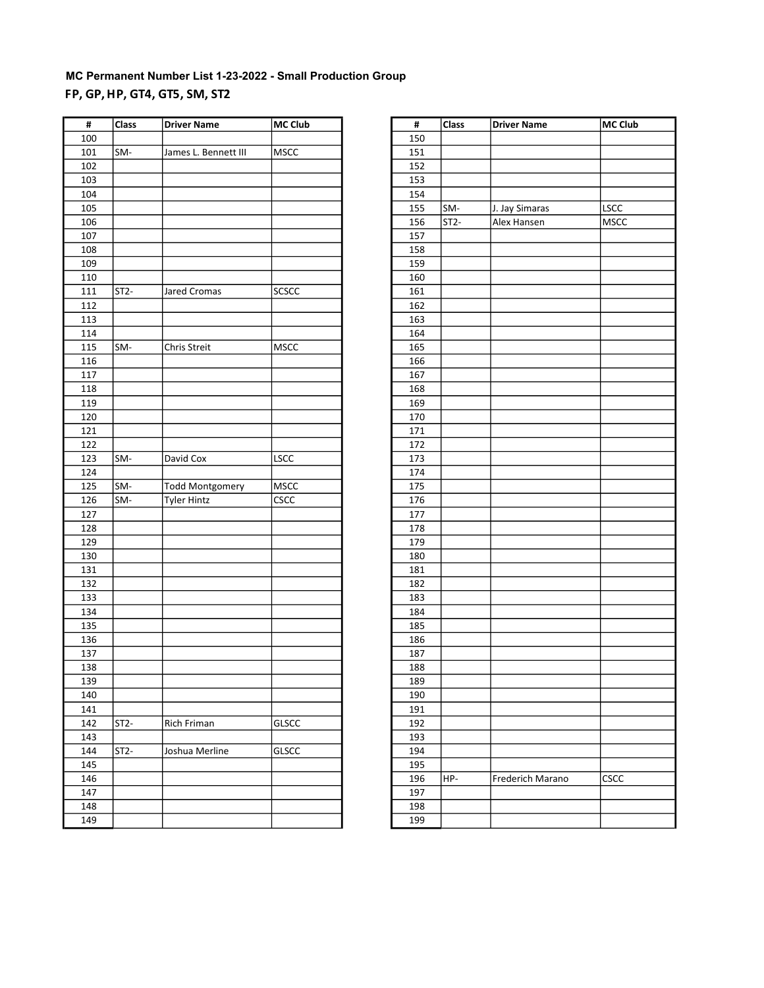# MC Permanent Number List 1-23-2022 - Small Production Group FP, GP, HP, GT4, GT5, SM, ST2

| #   | <b>Class</b>      | <b>Driver Name</b>     | MC Club      | $\pmb{\sharp}$ | <b>Class</b> | <b>Driver Name</b> | MC Club     |
|-----|-------------------|------------------------|--------------|----------------|--------------|--------------------|-------------|
| 100 |                   |                        |              | 150            |              |                    |             |
| 101 | SM-               | James L. Bennett III   | <b>MSCC</b>  | 151            |              |                    |             |
| 102 |                   |                        |              | 152            |              |                    |             |
| 103 |                   |                        |              | 153            |              |                    |             |
| 104 |                   |                        |              | 154            |              |                    |             |
| 105 |                   |                        |              | 155            | SM-          | J. Jay Simaras     | LSCC        |
| 106 |                   |                        |              | 156            | $ST2-$       | Alex Hansen        | MSCC        |
| 107 |                   |                        |              | 157            |              |                    |             |
| 108 |                   |                        |              | 158            |              |                    |             |
| 109 |                   |                        |              | 159            |              |                    |             |
| 110 |                   |                        |              | 160            |              |                    |             |
| 111 | ST <sub>2</sub> - | Jared Cromas           | <b>SCSCC</b> | 161            |              |                    |             |
| 112 |                   |                        |              | 162            |              |                    |             |
| 113 |                   |                        |              | 163            |              |                    |             |
| 114 |                   |                        |              | 164            |              |                    |             |
| 115 | SM-               | Chris Streit           | MSCC         | 165            |              |                    |             |
| 116 |                   |                        |              | 166            |              |                    |             |
| 117 |                   |                        |              | 167            |              |                    |             |
| 118 |                   |                        |              | 168            |              |                    |             |
| 119 |                   |                        |              | 169            |              |                    |             |
| 120 |                   |                        |              |                |              |                    |             |
|     |                   |                        |              | 170            |              |                    |             |
| 121 |                   |                        |              | 171            |              |                    |             |
| 122 |                   |                        |              | 172            |              |                    |             |
| 123 | SM-               | David Cox              | LSCC         | 173            |              |                    |             |
| 124 |                   |                        |              | 174            |              |                    |             |
| 125 | SM-               | <b>Todd Montgomery</b> | <b>MSCC</b>  | 175            |              |                    |             |
| 126 | SM-               | <b>Tyler Hintz</b>     | CSCC         | 176            |              |                    |             |
| 127 |                   |                        |              | 177            |              |                    |             |
| 128 |                   |                        |              | 178            |              |                    |             |
| 129 |                   |                        |              | 179            |              |                    |             |
| 130 |                   |                        |              | 180            |              |                    |             |
| 131 |                   |                        |              | 181            |              |                    |             |
| 132 |                   |                        |              | 182            |              |                    |             |
| 133 |                   |                        |              | 183            |              |                    |             |
| 134 |                   |                        |              | 184            |              |                    |             |
| 135 |                   |                        |              | 185            |              |                    |             |
| 136 |                   |                        |              | 186            |              |                    |             |
| 137 |                   |                        |              | 187            |              |                    |             |
| 138 |                   |                        |              | 188            |              |                    |             |
| 139 |                   |                        |              | 189            |              |                    |             |
| 140 |                   |                        |              | 190            |              |                    |             |
| 141 |                   |                        |              | 191            |              |                    |             |
| 142 | $ST2-$            | Rich Friman            | <b>GLSCC</b> | 192            |              |                    |             |
| 143 |                   |                        |              | 193            |              |                    |             |
| 144 | ST <sub>2</sub> - | Joshua Merline         | <b>GLSCC</b> | 194            |              |                    |             |
| 145 |                   |                        |              | 195            |              |                    |             |
| 146 |                   |                        |              | 196            | HP-          | Frederich Marano   | <b>CSCC</b> |
| 147 |                   |                        |              | 197            |              |                    |             |
| 148 |                   |                        |              | 198            |              |                    |             |
| 149 |                   |                        |              | 199            |              |                    |             |
|     |                   |                        |              |                |              |                    |             |

| #   | Class  | <b>Driver Name</b> | MC Club     |
|-----|--------|--------------------|-------------|
| 150 |        |                    |             |
| 151 |        |                    |             |
| 152 |        |                    |             |
| 153 |        |                    |             |
| 154 |        |                    |             |
| 155 | SM-    | J. Jay Simaras     | LSCC        |
| 156 | $ST2-$ | Alex Hansen        | <b>MSCC</b> |
| 157 |        |                    |             |
| 158 |        |                    |             |
| 159 |        |                    |             |
| 160 |        |                    |             |
| 161 |        |                    |             |
| 162 |        |                    |             |
| 163 |        |                    |             |
| 164 |        |                    |             |
| 165 |        |                    |             |
| 166 |        |                    |             |
| 167 |        |                    |             |
| 168 |        |                    |             |
| 169 |        |                    |             |
| 170 |        |                    |             |
| 171 |        |                    |             |
| 172 |        |                    |             |
| 173 |        |                    |             |
| 174 |        |                    |             |
| 175 |        |                    |             |
| 176 |        |                    |             |
| 177 |        |                    |             |
| 178 |        |                    |             |
| 179 |        |                    |             |
| 180 |        |                    |             |
| 181 |        |                    |             |
| 182 |        |                    |             |
| 183 |        |                    |             |
| 184 |        |                    |             |
| 185 |        |                    |             |
| 186 |        |                    |             |
| 187 |        |                    |             |
| 188 |        |                    |             |
| 189 |        |                    |             |
| 190 |        |                    |             |
| 191 |        |                    |             |
| 192 |        |                    |             |
| 193 |        |                    |             |
| 194 |        |                    |             |
| 195 |        |                    |             |
| 196 | HP-    | Frederich Marano   | CSCC        |
| 197 |        |                    |             |
| 198 |        |                    |             |
| 199 |        |                    |             |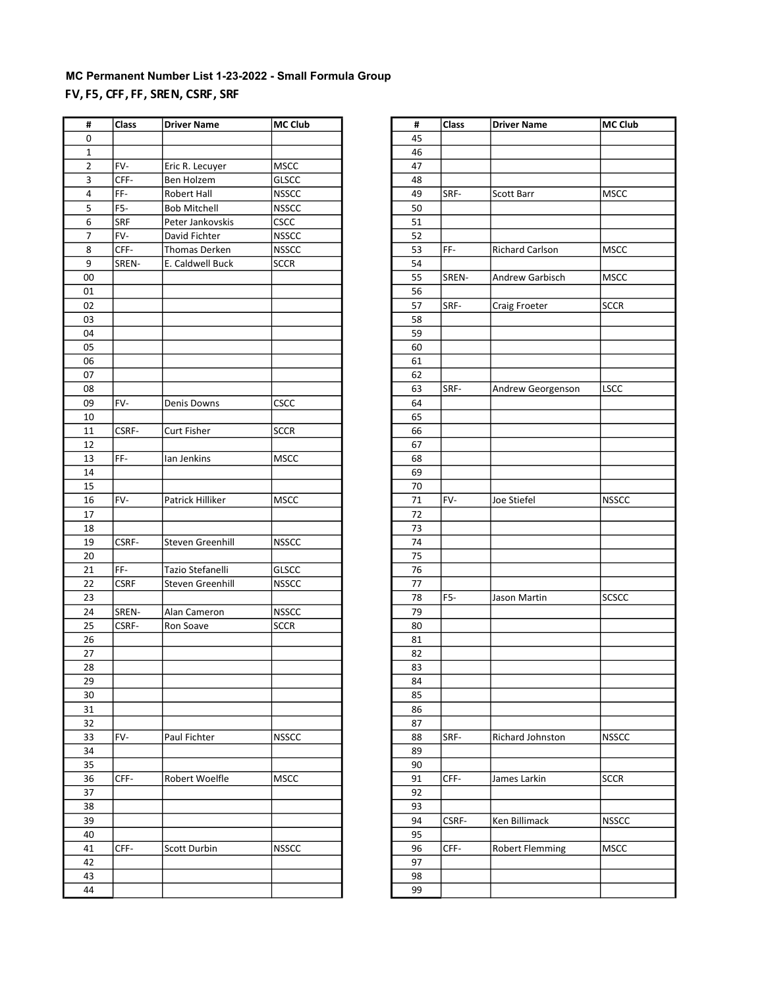### MC Permanent Number List 1-23-2022 - Small Formula Group FV, F5, CFF, FF, SREN, CSRF, SRF

| #           | <b>Class</b>     | <b>Driver Name</b>  | MC Club      | #  | Class | <b>Driver Name</b> | MC Club      |
|-------------|------------------|---------------------|--------------|----|-------|--------------------|--------------|
| 0           |                  |                     |              | 45 |       |                    |              |
| $\mathbf 1$ |                  |                     |              | 46 |       |                    |              |
| 2           | FV-              | Eric R. Lecuyer     | <b>MSCC</b>  | 47 |       |                    |              |
| 3           | CFF-             | Ben Holzem          | <b>GLSCC</b> | 48 |       |                    |              |
| 4           | FF-              | Robert Hall         | <b>NSSCC</b> | 49 | SRF-  | Scott Barr         | <b>MSCC</b>  |
| 5           | F <sub>5</sub> - | <b>Bob Mitchell</b> | <b>NSSCC</b> | 50 |       |                    |              |
| 6           | SRF              | Peter Jankovskis    | <b>CSCC</b>  | 51 |       |                    |              |
| 7           | FV-              | David Fichter       | <b>NSSCC</b> | 52 |       |                    |              |
| 8           | CFF-             | Thomas Derken       | <b>NSSCC</b> | 53 | FF-   | Richard Carlson    | <b>MSCC</b>  |
| 9           | SREN-            | E. Caldwell Buck    | <b>SCCR</b>  | 54 |       |                    |              |
| 00          |                  |                     |              | 55 | SREN- | Andrew Garbisch    | <b>MSCC</b>  |
| 01          |                  |                     |              | 56 |       |                    |              |
| 02          |                  |                     |              | 57 | SRF-  | Craig Froeter      | <b>SCCR</b>  |
| 03          |                  |                     |              | 58 |       |                    |              |
| 04          |                  |                     |              | 59 |       |                    |              |
| 05          |                  |                     |              | 60 |       |                    |              |
| 06          |                  |                     |              | 61 |       |                    |              |
| 07          |                  |                     |              | 62 |       |                    |              |
| 08          |                  |                     |              | 63 | SRF-  | Andrew Georgenson  | <b>LSCC</b>  |
| 09          | FV-              | Denis Downs         | CSCC         | 64 |       |                    |              |
| 10          |                  |                     |              | 65 |       |                    |              |
| 11          | CSRF-            | Curt Fisher         | <b>SCCR</b>  | 66 |       |                    |              |
| 12          |                  |                     |              | 67 |       |                    |              |
| 13          | FF-              | Ian Jenkins         | <b>MSCC</b>  | 68 |       |                    |              |
| 14          |                  |                     |              | 69 |       |                    |              |
| 15          |                  |                     |              | 70 |       |                    |              |
| 16          | FV-              | Patrick Hilliker    | <b>MSCC</b>  | 71 | FV-   | Joe Stiefel        | <b>NSSCC</b> |
| 17          |                  |                     |              | 72 |       |                    |              |
| 18          |                  |                     |              | 73 |       |                    |              |
| 19          | CSRF-            | Steven Greenhill    | <b>NSSCC</b> | 74 |       |                    |              |
| 20          |                  |                     |              | 75 |       |                    |              |
| 21          | FF-              | Tazio Stefanelli    | <b>GLSCC</b> | 76 |       |                    |              |
| 22          | <b>CSRF</b>      | Steven Greenhill    | <b>NSSCC</b> | 77 |       |                    |              |
| 23          |                  |                     |              | 78 | F5-   | Jason Martin       | <b>SCSCC</b> |
| 24          | SREN-            | Alan Cameron        | <b>NSSCC</b> | 79 |       |                    |              |
| 25          | CSRF-            | Ron Soave           | <b>SCCR</b>  | 80 |       |                    |              |
| 26          |                  |                     |              | 81 |       |                    |              |
| 27          |                  |                     |              | 82 |       |                    |              |
| 28          |                  |                     |              | 83 |       |                    |              |
| 29          |                  |                     |              | 84 |       |                    |              |
| 30          |                  |                     |              | 85 |       |                    |              |
| 31          |                  |                     |              | 86 |       |                    |              |
| 32          |                  |                     |              | 87 |       |                    |              |
| 33          | FV-              | Paul Fichter        | <b>NSSCC</b> | 88 | SRF-  | Richard Johnston   | <b>NSSCC</b> |
| 34          |                  |                     |              | 89 |       |                    |              |
| 35          |                  |                     |              | 90 |       |                    |              |
| 36          | CFF-             | Robert Woelfle      | <b>MSCC</b>  | 91 | CFF-  | James Larkin       | <b>SCCR</b>  |
| 37          |                  |                     |              | 92 |       |                    |              |
| 38          |                  |                     |              | 93 |       |                    |              |
| 39          |                  |                     |              | 94 | CSRF- | Ken Billimack      | <b>NSSCC</b> |
| 40          |                  |                     |              | 95 |       |                    |              |
| 41          | CFF-             | Scott Durbin        | <b>NSSCC</b> | 96 | CFF-  | Robert Flemming    | <b>MSCC</b>  |
| 42          |                  |                     |              | 97 |       |                    |              |
| 43          |                  |                     |              | 98 |       |                    |              |
| 44          |                  |                     |              | 99 |       |                    |              |
|             |                  |                     |              |    |       |                    |              |

| #  | <b>Class</b> | <b>Driver Name</b> | <b>MC Club</b> |
|----|--------------|--------------------|----------------|
| 45 |              |                    |                |
| 46 |              |                    |                |
| 47 |              |                    |                |
| 48 |              |                    |                |
| 49 | SRF-         | Scott Barr         | <b>MSCC</b>    |
| 50 |              |                    |                |
| 51 |              |                    |                |
| 52 |              |                    |                |
| 53 | FF-          | Richard Carlson    | <b>MSCC</b>    |
| 54 |              |                    |                |
| 55 | SREN-        | Andrew Garbisch    | <b>MSCC</b>    |
| 56 |              |                    |                |
| 57 | SRF-         |                    |                |
|    |              | Craig Froeter      | <b>SCCR</b>    |
| 58 |              |                    |                |
| 59 |              |                    |                |
| 60 |              |                    |                |
| 61 |              |                    |                |
| 62 |              |                    |                |
| 63 | SRF-         | Andrew Georgenson  | LSCC           |
| 64 |              |                    |                |
| 65 |              |                    |                |
| 66 |              |                    |                |
| 67 |              |                    |                |
| 68 |              |                    |                |
| 69 |              |                    |                |
| 70 |              |                    |                |
| 71 | FV-          | Joe Stiefel        | <b>NSSCC</b>   |
| 72 |              |                    |                |
| 73 |              |                    |                |
| 74 |              |                    |                |
| 75 |              |                    |                |
| 76 |              |                    |                |
| 77 |              |                    |                |
| 78 | F5-          | Jason Martin       | <b>SCSCC</b>   |
| 79 |              |                    |                |
| 80 |              |                    |                |
| 81 |              |                    |                |
| 82 |              |                    |                |
| 83 |              |                    |                |
| 84 |              |                    |                |
| 85 |              |                    |                |
| 86 |              |                    |                |
| 87 |              |                    |                |
| 88 | SRF-         | Richard Johnston   | <b>NSSCC</b>   |
| 89 |              |                    |                |
| 90 |              |                    |                |
| 91 | CFF-         | James Larkin       | <b>SCCR</b>    |
| 92 |              |                    |                |
| 93 |              |                    |                |
| 94 | CSRF-        | Ken Billimack      | <b>NSSCC</b>   |
| 95 |              |                    |                |
| 96 | CFF-         | Robert Flemming    | <b>MSCC</b>    |
| 97 |              |                    |                |
|    |              |                    |                |
| 98 |              |                    |                |
| 99 |              |                    |                |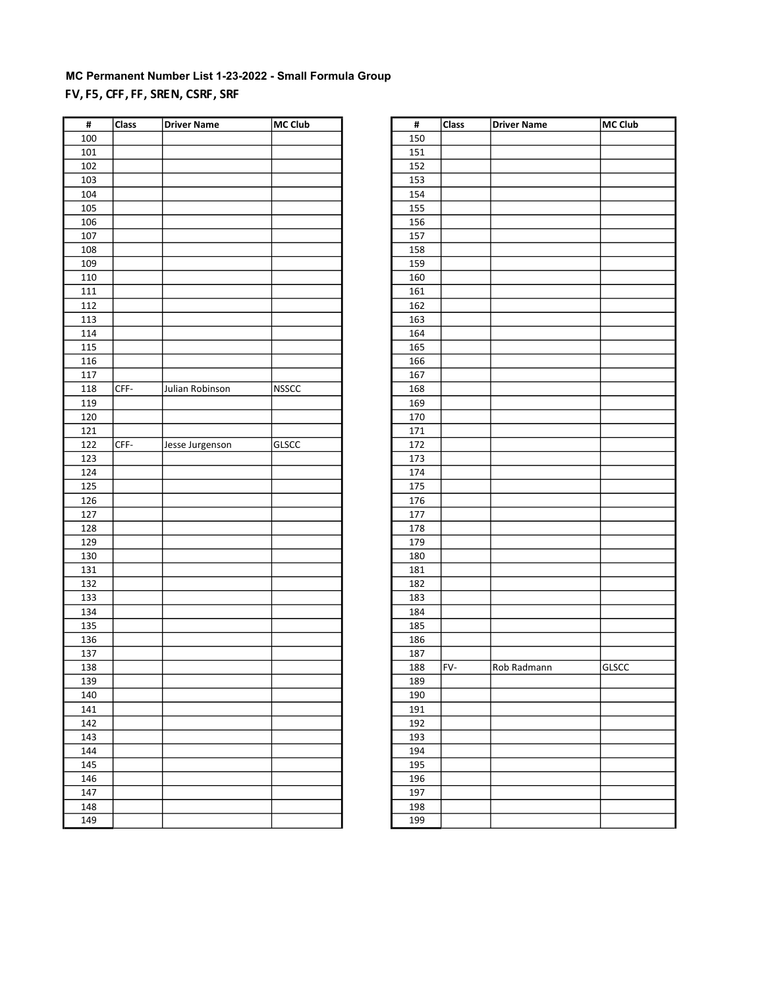# MC Permanent Number List 1-23-2022 - Small Formula Group FV, F5, CFF, FF, SREN, CSRF, SRF

| #                 | <b>Class</b> | <b>Driver Name</b> | MC Club      | #   | <b>Class</b> | <b>Driver Name</b> | MC Club      |
|-------------------|--------------|--------------------|--------------|-----|--------------|--------------------|--------------|
| 100               |              |                    |              | 150 |              |                    |              |
| 101               |              |                    |              | 151 |              |                    |              |
| 102               |              |                    |              | 152 |              |                    |              |
| 103               |              |                    |              | 153 |              |                    |              |
| 104               |              |                    |              | 154 |              |                    |              |
| 105               |              |                    |              | 155 |              |                    |              |
| 106               |              |                    |              | 156 |              |                    |              |
| 107               |              |                    |              | 157 |              |                    |              |
| 108               |              |                    |              | 158 |              |                    |              |
| 109               |              |                    |              | 159 |              |                    |              |
| 110               |              |                    |              | 160 |              |                    |              |
| 111               |              |                    |              | 161 |              |                    |              |
| $\frac{112}{112}$ |              |                    |              | 162 |              |                    |              |
| 113               |              |                    |              | 163 |              |                    |              |
| 114               |              |                    |              | 164 |              |                    |              |
| 115               |              |                    |              | 165 |              |                    |              |
| 116               |              |                    |              | 166 |              |                    |              |
| 117               |              |                    |              | 167 |              |                    |              |
| 118               | CFF-         | Julian Robinson    | <b>NSSCC</b> | 168 |              |                    |              |
| 119               |              |                    |              |     |              |                    |              |
|                   |              |                    |              | 169 |              |                    |              |
| 120               |              |                    |              | 170 |              |                    |              |
| 121               |              |                    |              | 171 |              |                    |              |
| 122               | CFF-         | Jesse Jurgenson    | <b>GLSCC</b> | 172 |              |                    |              |
| 123               |              |                    |              | 173 |              |                    |              |
| 124               |              |                    |              | 174 |              |                    |              |
| 125               |              |                    |              | 175 |              |                    |              |
| 126               |              |                    |              | 176 |              |                    |              |
| 127               |              |                    |              | 177 |              |                    |              |
| 128               |              |                    |              | 178 |              |                    |              |
| 129               |              |                    |              | 179 |              |                    |              |
| 130               |              |                    |              | 180 |              |                    |              |
| 131               |              |                    |              | 181 |              |                    |              |
| 132               |              |                    |              | 182 |              |                    |              |
| 133               |              |                    |              | 183 |              |                    |              |
| 134               |              |                    |              | 184 |              |                    |              |
| 135               |              |                    |              | 185 |              |                    |              |
| 136               |              |                    |              | 186 |              |                    |              |
| 137               |              |                    |              | 187 |              |                    |              |
| 138               |              |                    |              | 188 | FV-          | Rob Radmann        | <b>GLSCC</b> |
| 139               |              |                    |              | 189 |              |                    |              |
| 140               |              |                    |              | 190 |              |                    |              |
| 141               |              |                    |              | 191 |              |                    |              |
| 142               |              |                    |              | 192 |              |                    |              |
| 143               |              |                    |              | 193 |              |                    |              |
| 144               |              |                    |              | 194 |              |                    |              |
| 145               |              |                    |              | 195 |              |                    |              |
| 146               |              |                    |              | 196 |              |                    |              |
| 147               |              |                    |              | 197 |              |                    |              |
| 148               |              |                    |              | 198 |              |                    |              |
| 149               |              |                    |              | 199 |              |                    |              |
|                   |              |                    |              |     |              |                    |              |

| #          | <b>Class</b> | <b>Driver Name</b> | MC Club |
|------------|--------------|--------------------|---------|
| 150        |              |                    |         |
| 151        |              |                    |         |
| 152        |              |                    |         |
| 153        |              |                    |         |
| 154        |              |                    |         |
| 155        |              |                    |         |
| 156        |              |                    |         |
| 157        |              |                    |         |
| 158        |              |                    |         |
| 159        |              |                    |         |
| 160        |              |                    |         |
|            |              |                    |         |
| 161<br>162 |              |                    |         |
| 163        |              |                    |         |
|            |              |                    |         |
| 164        |              |                    |         |
| 165        |              |                    |         |
| 166        |              |                    |         |
| 167        |              |                    |         |
| 168        |              |                    |         |
| 169        |              |                    |         |
| 170        |              |                    |         |
| 171        |              |                    |         |
| 172        |              |                    |         |
| 173        |              |                    |         |
| 174        |              |                    |         |
| 175        |              |                    |         |
| 176        |              |                    |         |
| 177        |              |                    |         |
| 178        |              |                    |         |
| 179        |              |                    |         |
| 180        |              |                    |         |
| 181        |              |                    |         |
| 182        |              |                    |         |
| 183        |              |                    |         |
| 184        |              |                    |         |
| 185        |              |                    |         |
| 186        |              |                    |         |
| 187        |              |                    |         |
| 188        | FV-          | Rob Radmann        | GLSCC   |
| 189        |              |                    |         |
| 190        |              |                    |         |
| 191        |              |                    |         |
| 192        |              |                    |         |
| 193        |              |                    |         |
| 194        |              |                    |         |
| 195        |              |                    |         |
| 196        |              |                    |         |
| 197        |              |                    |         |
| 198        |              |                    |         |
| 199        |              |                    |         |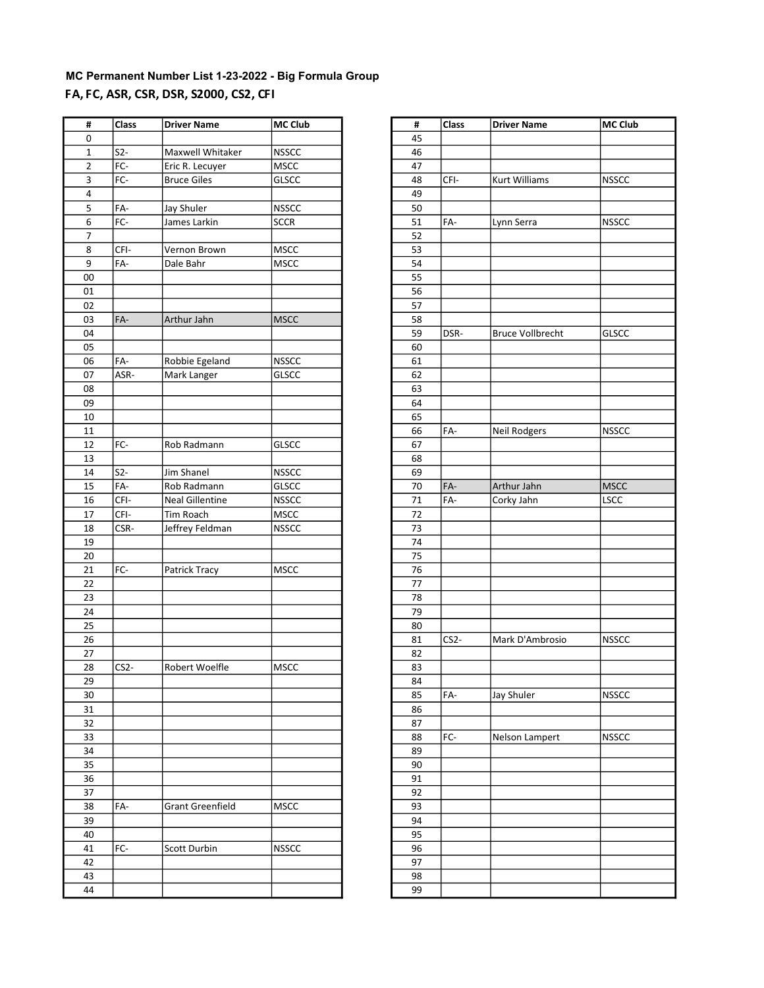# MC Permanent Number List 1-23-2022 - Big Formula Group FA, FC, ASR, CSR, DSR, S2000, CS2, CFI

| #           | Class             | <b>Driver Name</b>      | MC Club      | #        | Class             | <b>Driver Name</b>      | MC Club      |
|-------------|-------------------|-------------------------|--------------|----------|-------------------|-------------------------|--------------|
| 0           |                   |                         |              | 45       |                   |                         |              |
| $\mathbf 1$ | S <sub>2</sub>    | Maxwell Whitaker        | <b>NSSCC</b> | 46       |                   |                         |              |
| 2           | FC-               | Eric R. Lecuyer         | MSCC         | 47       |                   |                         |              |
| 3           | FC-               | <b>Bruce Giles</b>      | <b>GLSCC</b> | 48       | CFI-              | Kurt Williams           | <b>NSSCC</b> |
| 4           |                   |                         |              | 49       |                   |                         |              |
| 5           | FA-               | Jay Shuler              | <b>NSSCC</b> | 50       |                   |                         |              |
| 6           | FC-               | James Larkin            | <b>SCCR</b>  | 51       | FA-               | Lynn Serra              | <b>NSSCC</b> |
| 7           |                   |                         |              | 52       |                   |                         |              |
| 8           | CFI-              | Vernon Brown            | <b>MSCC</b>  | 53       |                   |                         |              |
| 9           | FA-               | Dale Bahr               | MSCC         | 54       |                   |                         |              |
| 00          |                   |                         |              | 55       |                   |                         |              |
| 01          |                   |                         |              | 56       |                   |                         |              |
| 02          |                   |                         |              | 57       |                   |                         |              |
| 03          | FA-               | Arthur Jahn             | <b>MSCC</b>  | 58       |                   |                         |              |
| 04          |                   |                         |              | 59       | DSR-              | <b>Bruce Vollbrecht</b> | <b>GLSCC</b> |
|             |                   |                         |              |          |                   |                         |              |
| 05          |                   |                         |              | 60       |                   |                         |              |
| 06<br>07    | FA-               | Robbie Egeland          | <b>NSSCC</b> | 61<br>62 |                   |                         |              |
|             | ASR-              | Mark Langer             | <b>GLSCC</b> |          |                   |                         |              |
| 08          |                   |                         |              | 63       |                   |                         |              |
| 09          |                   |                         |              | 64       |                   |                         |              |
| 10          |                   |                         |              | 65       |                   |                         |              |
| 11          |                   |                         |              | 66       | FA-               | Neil Rodgers            | <b>NSSCC</b> |
| 12          | FC-               | Rob Radmann             | GLSCC        | 67       |                   |                         |              |
| 13          |                   |                         |              | 68       |                   |                         |              |
| 14          | $S2-$             | Jim Shanel              | <b>NSSCC</b> | 69       |                   |                         |              |
| 15          | FA-               | Rob Radmann             | GLSCC        | 70       | FA-               | Arthur Jahn             | <b>MSCC</b>  |
| 16          | CFI-              | <b>Neal Gillentine</b>  | <b>NSSCC</b> | 71       | FA-               | Corky Jahn              | LSCC         |
| 17          | CFI-              | Tim Roach               | MSCC         | 72       |                   |                         |              |
| 18          | CSR-              | Jeffrey Feldman         | <b>NSSCC</b> | 73       |                   |                         |              |
| 19          |                   |                         |              | 74       |                   |                         |              |
| 20          |                   |                         |              | 75       |                   |                         |              |
| 21          | FC-               | Patrick Tracy           | <b>MSCC</b>  | 76       |                   |                         |              |
| 22          |                   |                         |              | $77$     |                   |                         |              |
| 23          |                   |                         |              | 78       |                   |                         |              |
| 24          |                   |                         |              | 79       |                   |                         |              |
| 25          |                   |                         |              | 80       |                   |                         |              |
| 26          |                   |                         |              | 81       | CS <sub>2</sub> - | Mark D'Ambrosio         | <b>NSSCC</b> |
| 27          |                   |                         |              | 82       |                   |                         |              |
| 28          | CS <sub>2</sub> - | Robert Woelfle          | <b>MSCC</b>  | 83       |                   |                         |              |
| 29          |                   |                         |              | 84       |                   |                         |              |
| 30          |                   |                         |              | 85       | FA-               | Jay Shuler              | <b>NSSCC</b> |
| 31          |                   |                         |              | 86       |                   |                         |              |
| 32          |                   |                         |              | 87       |                   |                         |              |
| 33          |                   |                         |              | 88       | FC-               | Nelson Lampert          | <b>NSSCC</b> |
| 34          |                   |                         |              | 89       |                   |                         |              |
| 35          |                   |                         |              | 90       |                   |                         |              |
| 36          |                   |                         |              | 91       |                   |                         |              |
| 37          |                   |                         |              | 92       |                   |                         |              |
| 38          | FA-               | <b>Grant Greenfield</b> | <b>MSCC</b>  | 93       |                   |                         |              |
| 39          |                   |                         |              | 94       |                   |                         |              |
| 40          |                   |                         |              | 95       |                   |                         |              |
| 41          | FC-               | Scott Durbin            | <b>NSSCC</b> | 96       |                   |                         |              |
| 42          |                   |                         |              | 97       |                   |                         |              |
| 43          |                   |                         |              | 98       |                   |                         |              |
| 44          |                   |                         |              | 99       |                   |                         |              |

| #  | Class             | <b>Driver Name</b>      | MC Club      |
|----|-------------------|-------------------------|--------------|
| 45 |                   |                         |              |
| 46 |                   |                         |              |
| 47 |                   |                         |              |
| 48 | CFI-              | Kurt Williams           | <b>NSSCC</b> |
| 49 |                   |                         |              |
| 50 |                   |                         |              |
| 51 | FA-               | Lynn Serra              | <b>NSSCC</b> |
| 52 |                   |                         |              |
| 53 |                   |                         |              |
| 54 |                   |                         |              |
| 55 |                   |                         |              |
| 56 |                   |                         |              |
| 57 |                   |                         |              |
| 58 |                   |                         |              |
|    |                   |                         |              |
| 59 | DSR-              | <b>Bruce Vollbrecht</b> | GLSCC        |
| 60 |                   |                         |              |
| 61 |                   |                         |              |
| 62 |                   |                         |              |
| 63 |                   |                         |              |
| 64 |                   |                         |              |
| 65 |                   |                         |              |
| 66 | FA-               | Neil Rodgers            | <b>NSSCC</b> |
| 67 |                   |                         |              |
| 68 |                   |                         |              |
| 69 |                   |                         |              |
| 70 | FA-               | Arthur Jahn             | <b>MSCC</b>  |
| 71 | FA-               | Corky Jahn              | LSCC         |
| 72 |                   |                         |              |
| 73 |                   |                         |              |
| 74 |                   |                         |              |
| 75 |                   |                         |              |
| 76 |                   |                         |              |
| 77 |                   |                         |              |
| 78 |                   |                         |              |
| 79 |                   |                         |              |
| 80 |                   |                         |              |
| 81 | CS <sub>2</sub> - | Mark D'Ambrosio         | <b>NSSCC</b> |
| 82 |                   |                         |              |
| 83 |                   |                         |              |
| 84 |                   |                         |              |
| 85 | FA-               | Jay Shuler              | <b>NSSCC</b> |
| 86 |                   |                         |              |
| 87 |                   |                         |              |
| 88 | FC-               | Nelson Lampert          | <b>NSSCC</b> |
| 89 |                   |                         |              |
| 90 |                   |                         |              |
| 91 |                   |                         |              |
| 92 |                   |                         |              |
| 93 |                   |                         |              |
| 94 |                   |                         |              |
| 95 |                   |                         |              |
| 96 |                   |                         |              |
| 97 |                   |                         |              |
| 98 |                   |                         |              |
| 99 |                   |                         |              |
|    |                   |                         |              |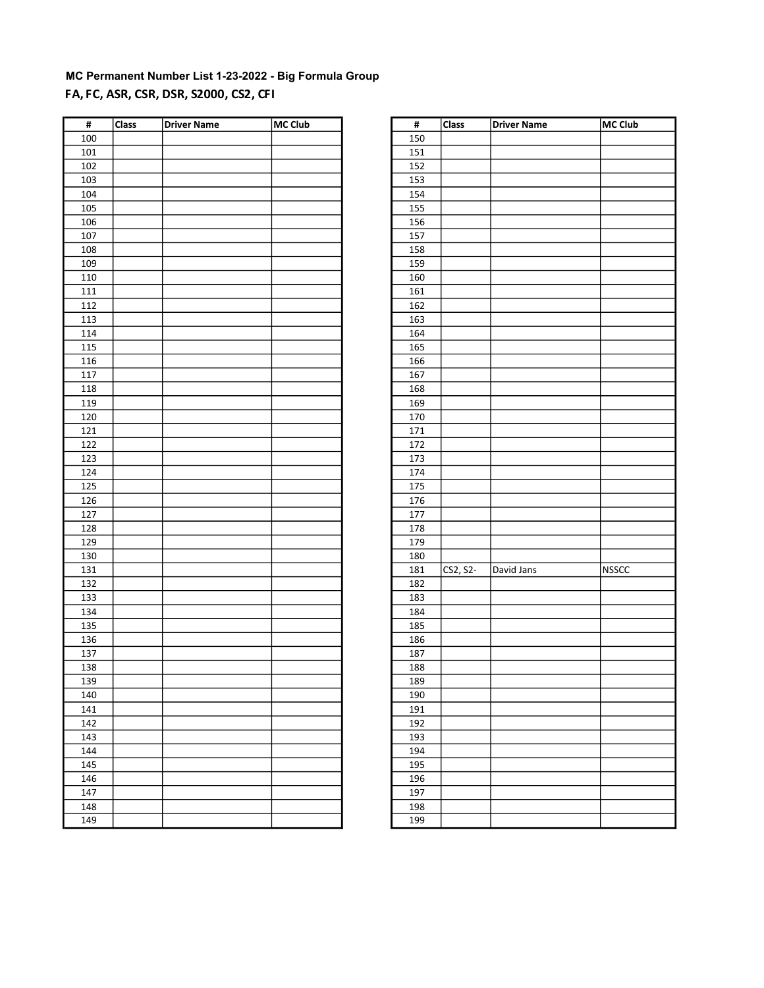# MC Permanent Number List 1-23-2022 - Big Formula Group FA, FC, ASR, CSR, DSR, S2000, CS2, CFI

| #   | <b>Class</b> | Driver Name | <b>MC Club</b> | #   | <b>Class</b> | <b>Driver Name</b> | MC Club      |
|-----|--------------|-------------|----------------|-----|--------------|--------------------|--------------|
| 100 |              |             |                | 150 |              |                    |              |
| 101 |              |             |                | 151 |              |                    |              |
| 102 |              |             |                | 152 |              |                    |              |
| 103 |              |             |                | 153 |              |                    |              |
| 104 |              |             |                | 154 |              |                    |              |
| 105 |              |             |                | 155 |              |                    |              |
| 106 |              |             |                | 156 |              |                    |              |
| 107 |              |             |                | 157 |              |                    |              |
| 108 |              |             |                | 158 |              |                    |              |
| 109 |              |             |                | 159 |              |                    |              |
| 110 |              |             |                | 160 |              |                    |              |
| 111 |              |             |                | 161 |              |                    |              |
| 112 |              |             |                | 162 |              |                    |              |
| 113 |              |             |                | 163 |              |                    |              |
| 114 |              |             |                | 164 |              |                    |              |
| 115 |              |             |                | 165 |              |                    |              |
| 116 |              |             |                | 166 |              |                    |              |
| 117 |              |             |                | 167 |              |                    |              |
| 118 |              |             |                | 168 |              |                    |              |
| 119 |              |             |                | 169 |              |                    |              |
| 120 |              |             |                | 170 |              |                    |              |
| 121 |              |             |                | 171 |              |                    |              |
|     |              |             |                |     |              |                    |              |
| 122 |              |             |                | 172 |              |                    |              |
| 123 |              |             |                | 173 |              |                    |              |
| 124 |              |             |                | 174 |              |                    |              |
| 125 |              |             |                | 175 |              |                    |              |
| 126 |              |             |                | 176 |              |                    |              |
| 127 |              |             |                | 177 |              |                    |              |
| 128 |              |             |                | 178 |              |                    |              |
| 129 |              |             |                | 179 |              |                    |              |
| 130 |              |             |                | 180 |              |                    |              |
| 131 |              |             |                | 181 | CS2, S2-     | David Jans         | <b>NSSCC</b> |
| 132 |              |             |                | 182 |              |                    |              |
| 133 |              |             |                | 183 |              |                    |              |
| 134 |              |             |                | 184 |              |                    |              |
| 135 |              |             |                | 185 |              |                    |              |
| 136 |              |             |                | 186 |              |                    |              |
| 137 |              |             |                | 187 |              |                    |              |
| 138 |              |             |                | 188 |              |                    |              |
| 139 |              |             |                | 189 |              |                    |              |
| 140 |              |             |                | 190 |              |                    |              |
| 141 |              |             |                | 191 |              |                    |              |
| 142 |              |             |                | 192 |              |                    |              |
| 143 |              |             |                | 193 |              |                    |              |
| 144 |              |             |                | 194 |              |                    |              |
| 145 |              |             |                | 195 |              |                    |              |
| 146 |              |             |                | 196 |              |                    |              |
| 147 |              |             |                | 197 |              |                    |              |
| 148 |              |             |                | 198 |              |                    |              |
| 149 |              |             |                | 199 |              |                    |              |

| #   | Class    | <b>Driver Name</b> | <b>MC Club</b> |
|-----|----------|--------------------|----------------|
| 150 |          |                    |                |
| 151 |          |                    |                |
| 152 |          |                    |                |
| 153 |          |                    |                |
| 154 |          |                    |                |
| 155 |          |                    |                |
| 156 |          |                    |                |
| 157 |          |                    |                |
| 158 |          |                    |                |
| 159 |          |                    |                |
| 160 |          |                    |                |
| 161 |          |                    |                |
| 162 |          |                    |                |
| 163 |          |                    |                |
| 164 |          |                    |                |
| 165 |          |                    |                |
| 166 |          |                    |                |
| 167 |          |                    |                |
| 168 |          |                    |                |
| 169 |          |                    |                |
|     |          |                    |                |
| 170 |          |                    |                |
| 171 |          |                    |                |
| 172 |          |                    |                |
| 173 |          |                    |                |
| 174 |          |                    |                |
| 175 |          |                    |                |
| 176 |          |                    |                |
| 177 |          |                    |                |
| 178 |          |                    |                |
| 179 |          |                    |                |
| 180 |          |                    |                |
| 181 | CS2, S2- | David Jans         | <b>NSSCC</b>   |
| 182 |          |                    |                |
| 183 |          |                    |                |
| 184 |          |                    |                |
| 185 |          |                    |                |
| 186 |          |                    |                |
| 187 |          |                    |                |
| 188 |          |                    |                |
| 189 |          |                    |                |
| 190 |          |                    |                |
| 191 |          |                    |                |
| 192 |          |                    |                |
| 193 |          |                    |                |
| 194 |          |                    |                |
| 195 |          |                    |                |
| 196 |          |                    |                |
| 197 |          |                    |                |
| 198 |          |                    |                |
| 199 |          |                    |                |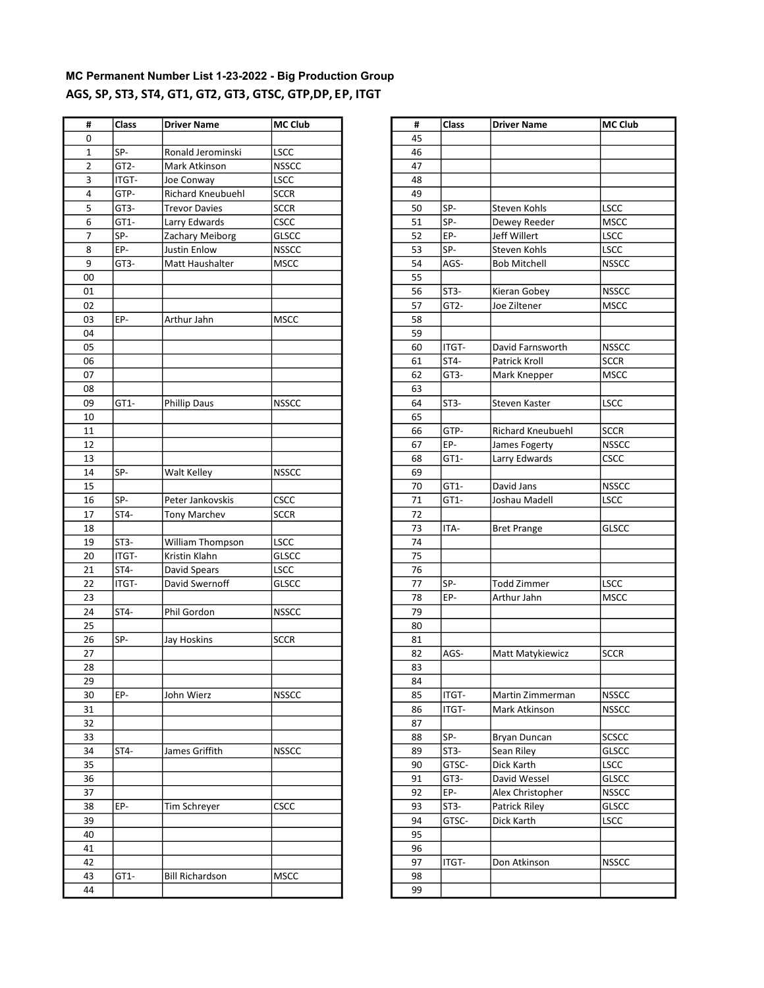### MC Permanent Number List 1-23-2022 - Big Production Group AGS, SP, ST3, ST4, GT1, GT2, GT3, GTSC, GTP,DP, EP, ITGT

| #              | Class             | <b>Driver Name</b>     | <b>MC Club</b> | #  | Class             | <b>Driver Name</b>  | <b>MC Club</b> |
|----------------|-------------------|------------------------|----------------|----|-------------------|---------------------|----------------|
| 0              |                   |                        |                | 45 |                   |                     |                |
| $\mathbf{1}$   | SP-               | Ronald Jerominski      | <b>LSCC</b>    | 46 |                   |                     |                |
| $\overline{2}$ | GT <sub>2</sub> - | Mark Atkinson          | <b>NSSCC</b>   | 47 |                   |                     |                |
| 3              | ITGT-             | Joe Conway             | LSCC           | 48 |                   |                     |                |
| 4              | GTP-              | Richard Kneubuehl      | <b>SCCR</b>    | 49 |                   |                     |                |
| 5              | GT3-              | <b>Trevor Davies</b>   | <b>SCCR</b>    | 50 | SP-               | <b>Steven Kohls</b> | <b>LSCC</b>    |
| 6              | GT1-              | Larry Edwards          | CSCC           | 51 | SP-               | Dewey Reeder        | <b>MSCC</b>    |
| $\overline{7}$ | SP-               | Zachary Meiborg        | <b>GLSCC</b>   | 52 | EP-               | Jeff Willert        | LSCC           |
| 8              | EP-               | Justin Enlow           | <b>NSSCC</b>   | 53 | SP-               | Steven Kohls        | LSCC           |
| 9              | GT3-              |                        | <b>MSCC</b>    | 54 | AGS-              | <b>Bob Mitchell</b> | <b>NSSCC</b>   |
|                |                   | Matt Haushalter        |                |    |                   |                     |                |
| 00             |                   |                        |                | 55 |                   |                     |                |
| 01             |                   |                        |                | 56 | ST3-              | Kieran Gobey        | <b>NSSCC</b>   |
| 02             |                   |                        |                | 57 | GT <sub>2</sub> - | Joe Ziltener        | <b>MSCC</b>    |
| 03             | EP-               | Arthur Jahn            | <b>MSCC</b>    | 58 |                   |                     |                |
| 04             |                   |                        |                | 59 |                   |                     |                |
| 05             |                   |                        |                | 60 | ITGT-             | David Farnsworth    | <b>NSSCC</b>   |
| 06             |                   |                        |                | 61 | ST4-              | Patrick Kroll       | <b>SCCR</b>    |
| 07             |                   |                        |                | 62 | GT3-              | Mark Knepper        | <b>MSCC</b>    |
| 08             |                   |                        |                | 63 |                   |                     |                |
| 09             | GT1-              | <b>Phillip Daus</b>    | <b>NSSCC</b>   | 64 | ST3-              | Steven Kaster       | LSCC           |
| 10             |                   |                        |                | 65 |                   |                     |                |
| 11             |                   |                        |                | 66 | GTP-              | Richard Kneubuehl   | <b>SCCR</b>    |
| 12             |                   |                        |                | 67 | EP-               | James Fogerty       | <b>NSSCC</b>   |
| 13             |                   |                        |                | 68 | GT1-              | Larry Edwards       | CSCC           |
| 14             | SP-               | Walt Kelley            | <b>NSSCC</b>   | 69 |                   |                     |                |
| 15             |                   |                        |                | 70 | GT1-              | David Jans          | <b>NSSCC</b>   |
| 16             | SP-               | Peter Jankovskis       | <b>CSCC</b>    | 71 | GT1-              | Joshau Madell       | <b>LSCC</b>    |
| 17             | ST4-              | <b>Tony Marchev</b>    | <b>SCCR</b>    | 72 |                   |                     |                |
| 18             |                   |                        |                | 73 | ITA-              | <b>Bret Prange</b>  | <b>GLSCC</b>   |
| 19             | ST3-              | William Thompson       | <b>LSCC</b>    | 74 |                   |                     |                |
| 20             | ITGT-             | Kristin Klahn          | <b>GLSCC</b>   | 75 |                   |                     |                |
| 21             | ST4-              | David Spears           | LSCC           | 76 |                   |                     |                |
| 22             | ITGT-             | David Swernoff         | <b>GLSCC</b>   | 77 | SP-               | <b>Todd Zimmer</b>  | LSCC           |
| 23             |                   |                        |                | 78 | EP-               | Arthur Jahn         | <b>MSCC</b>    |
| 24             | ST4-              | Phil Gordon            | <b>NSSCC</b>   | 79 |                   |                     |                |
| 25             |                   |                        |                | 80 |                   |                     |                |
| 26             | SP-               | Jay Hoskins            | <b>SCCR</b>    | 81 |                   |                     |                |
| 27             |                   |                        |                | 82 | AGS-              | Matt Matykiewicz    | <b>SCCR</b>    |
| 28             |                   |                        |                | 83 |                   |                     |                |
| 29             |                   |                        |                | 84 |                   |                     |                |
| 30             | EP-               | John Wierz             | <b>NSSCC</b>   | 85 | ITGT-             | Martin Zimmerman    | <b>NSSCC</b>   |
|                |                   |                        |                |    |                   |                     |                |
| 31<br>32       |                   |                        |                | 86 | ITGT-             | Mark Atkinson       | <b>NSSCC</b>   |
|                |                   |                        |                | 87 |                   |                     |                |
| 33             |                   |                        |                | 88 | SP-               | Bryan Duncan        | <b>SCSCC</b>   |
| 34             | ST4-              | James Griffith         | <b>NSSCC</b>   | 89 | ST <sub>3</sub> - | Sean Riley          | <b>GLSCC</b>   |
| 35             |                   |                        |                | 90 | GTSC-             | Dick Karth          | <b>LSCC</b>    |
| 36             |                   |                        |                | 91 | GT3-              | David Wessel        | <b>GLSCC</b>   |
| 37             |                   |                        |                | 92 | EP-               | Alex Christopher    | <b>NSSCC</b>   |
| 38             | EP-               | Tim Schreyer           | <b>CSCC</b>    | 93 | ST3-              | Patrick Riley       | <b>GLSCC</b>   |
| 39             |                   |                        |                | 94 | GTSC-             | Dick Karth          | LSCC           |
| 40             |                   |                        |                | 95 |                   |                     |                |
| 41             |                   |                        |                | 96 |                   |                     |                |
| 42             |                   |                        |                | 97 | ITGT-             | Don Atkinson        | <b>NSSCC</b>   |
| 43             | GT1-              | <b>Bill Richardson</b> | <b>MSCC</b>    | 98 |                   |                     |                |
| 44             |                   |                        |                | 99 |                   |                     |                |
|                |                   |                        |                |    |                   |                     |                |

| #  | <b>Class</b>      | <b>Driver Name</b>  | MC Club      |
|----|-------------------|---------------------|--------------|
| 45 |                   |                     |              |
| 46 |                   |                     |              |
| 47 |                   |                     |              |
| 48 |                   |                     |              |
| 49 |                   |                     |              |
| 50 | SP-               | Steven Kohls        | <b>LSCC</b>  |
| 51 | SP-               | Dewey Reeder        | <b>MSCC</b>  |
| 52 | EP-               | Jeff Willert        | <b>LSCC</b>  |
| 53 | SP-               | Steven Kohls        | <b>LSCC</b>  |
| 54 | AGS-              | <b>Bob Mitchell</b> | <b>NSSCC</b> |
| 55 |                   |                     |              |
| 56 | ST3-              | Kieran Gobey        | <b>NSSCC</b> |
| 57 | GT <sub>2</sub> - | Joe Ziltener        | <b>MSCC</b>  |
| 58 |                   |                     |              |
| 59 |                   |                     |              |
| 60 | ITGT-             | David Farnsworth    | <b>NSSCC</b> |
| 61 | ST4-              | Patrick Kroll       | <b>SCCR</b>  |
| 62 | GT3-              | Mark Knepper        | <b>MSCC</b>  |
| 63 |                   |                     |              |
| 64 | ST3-              | Steven Kaster       | LSCC         |
| 65 |                   |                     |              |
| 66 | GTP-              | Richard Kneubuehl   | <b>SCCR</b>  |
| 67 | EP-               | James Fogerty       | <b>NSSCC</b> |
| 68 | GT1-              | Larry Edwards       | <b>CSCC</b>  |
| 69 |                   |                     |              |
| 70 | GT1-              | David Jans          | <b>NSSCC</b> |
| 71 | GT1-              | Joshau Madell       | <b>LSCC</b>  |
| 72 |                   |                     |              |
| 73 | ITA-              | <b>Bret Prange</b>  | <b>GLSCC</b> |
| 74 |                   |                     |              |
| 75 |                   |                     |              |
| 76 |                   |                     |              |
| 77 | SP-               | <b>Todd Zimmer</b>  | <b>LSCC</b>  |
| 78 | EP-               | Arthur Jahn         | <b>MSCC</b>  |
| 79 |                   |                     |              |
| 80 |                   |                     |              |
| 81 |                   |                     |              |
| 82 | AGS-              | Matt Matykiewicz    | SCCR         |
| 83 |                   |                     |              |
| 84 |                   |                     |              |
| 85 | ITGT-             | Martin Zimmerman    | NSSCC        |
| 86 | ITGT-             | Mark Atkinson       | <b>NSSCC</b> |
| 87 |                   |                     |              |
| 88 | SP-               | Bryan Duncan        | SCSCC        |
| 89 | ST3-              | Sean Riley          | GLSCC        |
| 90 | GTSC-             | Dick Karth          | <b>LSCC</b>  |
| 91 | GT3-              | David Wessel        | <b>GLSCC</b> |
| 92 | EP-               | Alex Christopher    | <b>NSSCC</b> |
| 93 | ST3-              | Patrick Riley       | <b>GLSCC</b> |
| 94 | GTSC-             | Dick Karth          | LSCC         |
| 95 |                   |                     |              |
| 96 |                   |                     |              |
| 97 | ITGT-             | Don Atkinson        | <b>NSSCC</b> |
| 98 |                   |                     |              |
| 99 |                   |                     |              |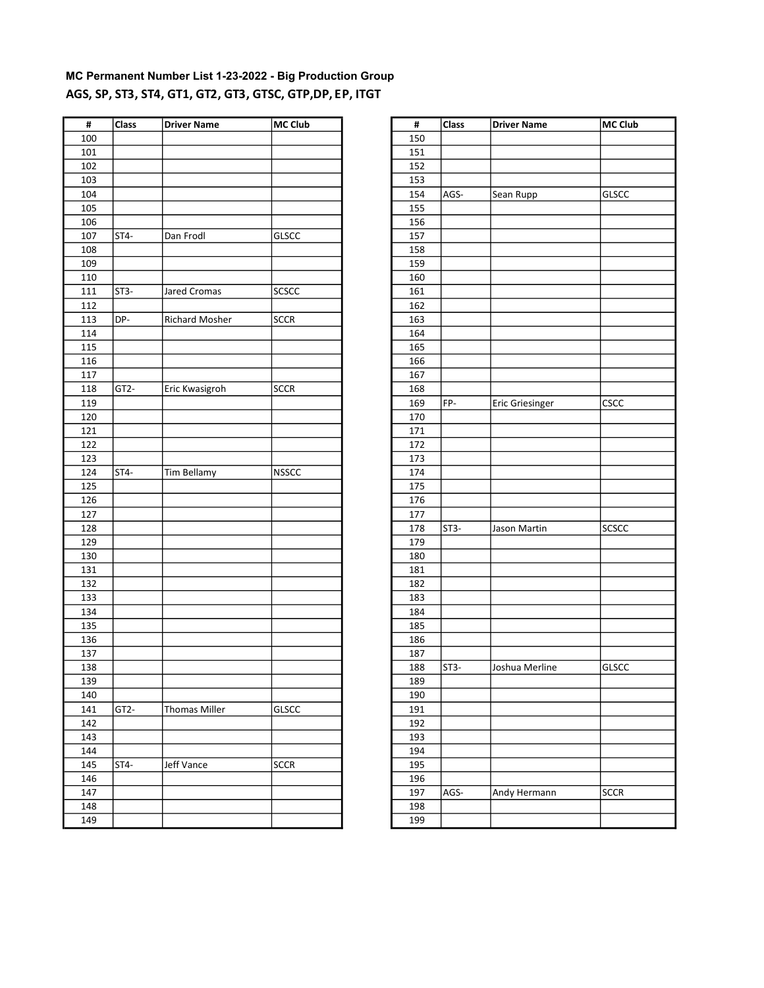# MC Permanent Number List 1-23-2022 - Big Production Group AGS, SP, ST3, ST4, GT1, GT2, GT3, GTSC, GTP,DP, EP, ITGT

| $\pmb{\sharp}$ | Class             | <b>Driver Name</b>    | <b>MC Club</b> | #   | Class             | <b>Driver Name</b>     | MC Club      |
|----------------|-------------------|-----------------------|----------------|-----|-------------------|------------------------|--------------|
| 100            |                   |                       |                | 150 |                   |                        |              |
| 101            |                   |                       |                | 151 |                   |                        |              |
| 102            |                   |                       |                | 152 |                   |                        |              |
| 103            |                   |                       |                | 153 |                   |                        |              |
| 104            |                   |                       |                | 154 | AGS-              | Sean Rupp              | <b>GLSCC</b> |
| 105            |                   |                       |                | 155 |                   |                        |              |
| 106            |                   |                       |                | 156 |                   |                        |              |
| 107            | ST <sub>4</sub> - | Dan Frodl             | GLSCC          | 157 |                   |                        |              |
| 108            |                   |                       |                | 158 |                   |                        |              |
| 109            |                   |                       |                | 159 |                   |                        |              |
| 110            |                   |                       |                | 160 |                   |                        |              |
| 111            | ST3-              | Jared Cromas          | <b>SCSCC</b>   | 161 |                   |                        |              |
| 112            |                   |                       |                | 162 |                   |                        |              |
| 113            | DP-               | <b>Richard Mosher</b> | <b>SCCR</b>    | 163 |                   |                        |              |
| 114            |                   |                       |                | 164 |                   |                        |              |
| 115            |                   |                       |                | 165 |                   |                        |              |
| 116            |                   |                       |                | 166 |                   |                        |              |
| 117            |                   |                       |                | 167 |                   |                        |              |
| 118            | GT <sub>2</sub> - | Eric Kwasigroh        | <b>SCCR</b>    | 168 |                   |                        |              |
| 119            |                   |                       |                | 169 | FP-               | <b>Eric Griesinger</b> | <b>CSCC</b>  |
| 120            |                   |                       |                | 170 |                   |                        |              |
| 121            |                   |                       |                | 171 |                   |                        |              |
| 122            |                   |                       |                | 172 |                   |                        |              |
| 123            |                   |                       |                | 173 |                   |                        |              |
| 124            | ST4-              | Tim Bellamy           | <b>NSSCC</b>   | 174 |                   |                        |              |
| 125            |                   |                       |                | 175 |                   |                        |              |
| 126            |                   |                       |                | 176 |                   |                        |              |
| 127            |                   |                       |                | 177 |                   |                        |              |
| 128            |                   |                       |                | 178 | ST <sub>3</sub> - | Jason Martin           | <b>SCSCC</b> |
| 129            |                   |                       |                | 179 |                   |                        |              |
| 130            |                   |                       |                | 180 |                   |                        |              |
| 131            |                   |                       |                | 181 |                   |                        |              |
| 132            |                   |                       |                | 182 |                   |                        |              |
| 133            |                   |                       |                | 183 |                   |                        |              |
| 134            |                   |                       |                | 184 |                   |                        |              |
| 135            |                   |                       |                | 185 |                   |                        |              |
| 136            |                   |                       |                | 186 |                   |                        |              |
| 137            |                   |                       |                | 187 |                   |                        |              |
| 138            |                   |                       |                | 188 | ST <sub>3</sub> - | Joshua Merline         | <b>GLSCC</b> |
| 139            |                   |                       |                | 189 |                   |                        |              |
| 140            |                   |                       |                | 190 |                   |                        |              |
| 141            | GT2-              | <b>Thomas Miller</b>  | GLSCC          | 191 |                   |                        |              |
| 142            |                   |                       |                | 192 |                   |                        |              |
| 143            |                   |                       |                | 193 |                   |                        |              |
| 144            |                   |                       |                |     |                   |                        |              |
|                | ST4-              |                       |                | 194 |                   |                        |              |
| 145<br>146     |                   | Jeff Vance            | <b>SCCR</b>    | 195 |                   |                        |              |
|                |                   |                       |                | 196 |                   |                        |              |
| 147            |                   |                       |                | 197 | AGS-              | Andy Hermann           | <b>SCCR</b>  |
| 148            |                   |                       |                | 198 |                   |                        |              |
| 149            |                   |                       |                | 199 |                   |                        |              |

| #   | Class  | <b>Driver Name</b>     | MC Club      |
|-----|--------|------------------------|--------------|
| 150 |        |                        |              |
| 151 |        |                        |              |
| 152 |        |                        |              |
| 153 |        |                        |              |
| 154 |        |                        |              |
|     | AGS-   | Sean Rupp              | <b>GLSCC</b> |
| 155 |        |                        |              |
| 156 |        |                        |              |
| 157 |        |                        |              |
| 158 |        |                        |              |
| 159 |        |                        |              |
| 160 |        |                        |              |
| 161 |        |                        |              |
| 162 |        |                        |              |
| 163 |        |                        |              |
| 164 |        |                        |              |
| 165 |        |                        |              |
| 166 |        |                        |              |
| 167 |        |                        |              |
| 168 |        |                        |              |
| 169 | FP-    | <b>Eric Griesinger</b> | CSCC         |
| 170 |        |                        |              |
| 171 |        |                        |              |
| 172 |        |                        |              |
| 173 |        |                        |              |
| 174 |        |                        |              |
| 175 |        |                        |              |
| 176 |        |                        |              |
| 177 |        |                        |              |
| 178 | $ST3-$ | Jason Martin           | SCSCC        |
| 179 |        |                        |              |
| 180 |        |                        |              |
| 181 |        |                        |              |
| 182 |        |                        |              |
| 183 |        |                        |              |
| 184 |        |                        |              |
| 185 |        |                        |              |
| 186 |        |                        |              |
| 187 |        |                        |              |
| 188 | ST3-   | Joshua Merline         | <b>GLSCC</b> |
| 189 |        |                        |              |
| 190 |        |                        |              |
| 191 |        |                        |              |
| 192 |        |                        |              |
| 193 |        |                        |              |
| 194 |        |                        |              |
| 195 |        |                        |              |
| 196 |        |                        |              |
| 197 | AGS-   | Andy Hermann           | <b>SCCR</b>  |
| 198 |        |                        |              |
| 199 |        |                        |              |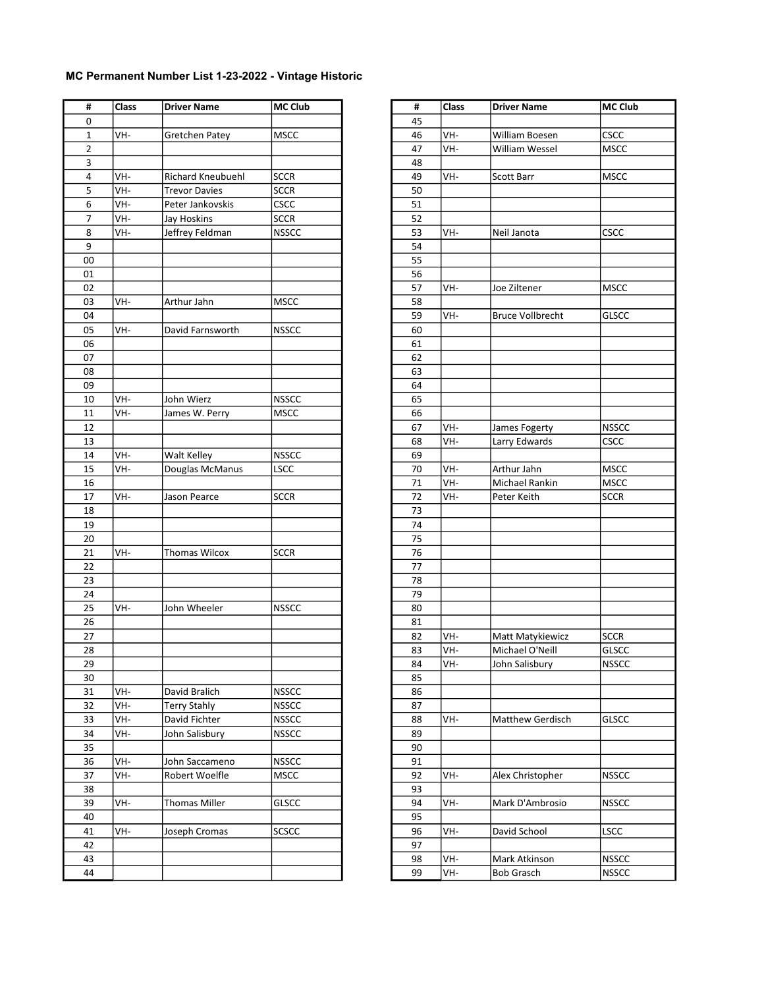| #<br>0<br>45<br>$\mathbf 1$<br>VH-<br>Gretchen Patey<br><b>MSCC</b><br>2<br>3<br>VH-<br><b>SCCR</b><br>4<br><b>Richard Kneubuehl</b><br>5<br>VH-<br><b>SCCR</b><br><b>Trevor Davies</b><br>Peter Jankovskis<br>CSCC<br>6<br>VH-<br>7<br>VH-<br>Jay Hoskins<br>SCCR<br>Jeffrey Feldman<br>8<br>VH-<br><b>NSSCC</b><br>9<br>00<br>01<br>02<br>03<br>VH-<br>Arthur Jahn<br><b>MSCC</b><br>04<br>05<br>VH-<br>David Farnsworth<br><b>NSSCC</b><br>06<br>07<br>08<br>09<br><b>NSSCC</b><br>10<br>VH-<br>John Wierz<br>VH-<br>11<br><b>MSCC</b><br>James W. Perry<br>12<br>13<br>14<br>VH-<br><b>NSSCC</b><br>Walt Kelley<br>VH-<br>15<br>Douglas McManus<br>LSCC<br>16<br>17<br><b>SCCR</b><br>VH-<br>Jason Pearce<br>18<br>19<br>20<br>21<br>VH-<br><b>SCCR</b><br><b>Thomas Wilcox</b><br>22<br>23<br>24<br>25<br>VH-<br>John Wheeler<br><b>NSSCC</b><br>26<br>27<br>28<br>29<br>30<br>31<br>David Bralich<br><b>NSSCC</b><br>VH-<br>32<br>VH-<br>Terry Stahly<br><b>NSSCC</b><br>33<br>VH-<br>David Fichter<br><b>NSSCC</b><br>34<br>VH-<br>John Salisbury<br><b>NSSCC</b><br>35<br>36<br>VH-<br><b>NSSCC</b><br>John Saccameno<br>37<br>VH-<br>Robert Woelfle<br><b>MSCC</b><br>38<br>39<br><b>Thomas Miller</b><br>VH-<br><b>GLSCC</b><br>40<br>41<br>VH-<br>Joseph Cromas<br><b>SCSCC</b><br>42<br>43 | #  | Class | <b>Driver Name</b> | <b>MC Club</b> |
|--------------------------------------------------------------------------------------------------------------------------------------------------------------------------------------------------------------------------------------------------------------------------------------------------------------------------------------------------------------------------------------------------------------------------------------------------------------------------------------------------------------------------------------------------------------------------------------------------------------------------------------------------------------------------------------------------------------------------------------------------------------------------------------------------------------------------------------------------------------------------------------------------------------------------------------------------------------------------------------------------------------------------------------------------------------------------------------------------------------------------------------------------------------------------------------------------------------------------------------------------------------------------------------------------------|----|-------|--------------------|----------------|
| VH-<br>46<br>VH-<br>47<br>48<br>VH-<br>49<br>50<br>51<br>52<br>53<br>VH-<br>54<br>55<br>56<br>57<br>VH-<br>58<br>VH-<br>59<br>60<br>61<br>62<br>63<br>64<br>65<br>66<br>VH-<br>67<br>VH-<br>68<br>69<br>VH-<br>70<br>VH-<br>71<br>72<br>VH-<br>73<br>74<br>75<br>76<br>77<br>78<br>79<br>80<br>81<br>82<br>VH-<br>VH-<br>83<br>VH-<br>84<br>85<br>86<br>87<br>88<br>VH-<br>89<br>90<br>91<br>VH-<br>92<br>93<br>VH-<br>94<br>95<br>VH-<br>96<br>97<br>VH-<br>98<br>VH-<br>99                                                                                                                                                                                                                                                                                                                                                                                                                                                                                                                                                                                                                                                                                                                                                                                                                           |    |       |                    |                |
|                                                                                                                                                                                                                                                                                                                                                                                                                                                                                                                                                                                                                                                                                                                                                                                                                                                                                                                                                                                                                                                                                                                                                                                                                                                                                                        |    |       |                    |                |
|                                                                                                                                                                                                                                                                                                                                                                                                                                                                                                                                                                                                                                                                                                                                                                                                                                                                                                                                                                                                                                                                                                                                                                                                                                                                                                        |    |       |                    |                |
|                                                                                                                                                                                                                                                                                                                                                                                                                                                                                                                                                                                                                                                                                                                                                                                                                                                                                                                                                                                                                                                                                                                                                                                                                                                                                                        |    |       |                    |                |
|                                                                                                                                                                                                                                                                                                                                                                                                                                                                                                                                                                                                                                                                                                                                                                                                                                                                                                                                                                                                                                                                                                                                                                                                                                                                                                        |    |       |                    |                |
|                                                                                                                                                                                                                                                                                                                                                                                                                                                                                                                                                                                                                                                                                                                                                                                                                                                                                                                                                                                                                                                                                                                                                                                                                                                                                                        |    |       |                    |                |
|                                                                                                                                                                                                                                                                                                                                                                                                                                                                                                                                                                                                                                                                                                                                                                                                                                                                                                                                                                                                                                                                                                                                                                                                                                                                                                        |    |       |                    |                |
|                                                                                                                                                                                                                                                                                                                                                                                                                                                                                                                                                                                                                                                                                                                                                                                                                                                                                                                                                                                                                                                                                                                                                                                                                                                                                                        |    |       |                    |                |
|                                                                                                                                                                                                                                                                                                                                                                                                                                                                                                                                                                                                                                                                                                                                                                                                                                                                                                                                                                                                                                                                                                                                                                                                                                                                                                        |    |       |                    |                |
|                                                                                                                                                                                                                                                                                                                                                                                                                                                                                                                                                                                                                                                                                                                                                                                                                                                                                                                                                                                                                                                                                                                                                                                                                                                                                                        |    |       |                    |                |
|                                                                                                                                                                                                                                                                                                                                                                                                                                                                                                                                                                                                                                                                                                                                                                                                                                                                                                                                                                                                                                                                                                                                                                                                                                                                                                        |    |       |                    |                |
|                                                                                                                                                                                                                                                                                                                                                                                                                                                                                                                                                                                                                                                                                                                                                                                                                                                                                                                                                                                                                                                                                                                                                                                                                                                                                                        |    |       |                    |                |
|                                                                                                                                                                                                                                                                                                                                                                                                                                                                                                                                                                                                                                                                                                                                                                                                                                                                                                                                                                                                                                                                                                                                                                                                                                                                                                        |    |       |                    |                |
|                                                                                                                                                                                                                                                                                                                                                                                                                                                                                                                                                                                                                                                                                                                                                                                                                                                                                                                                                                                                                                                                                                                                                                                                                                                                                                        |    |       |                    |                |
|                                                                                                                                                                                                                                                                                                                                                                                                                                                                                                                                                                                                                                                                                                                                                                                                                                                                                                                                                                                                                                                                                                                                                                                                                                                                                                        |    |       |                    |                |
|                                                                                                                                                                                                                                                                                                                                                                                                                                                                                                                                                                                                                                                                                                                                                                                                                                                                                                                                                                                                                                                                                                                                                                                                                                                                                                        |    |       |                    |                |
|                                                                                                                                                                                                                                                                                                                                                                                                                                                                                                                                                                                                                                                                                                                                                                                                                                                                                                                                                                                                                                                                                                                                                                                                                                                                                                        |    |       |                    |                |
|                                                                                                                                                                                                                                                                                                                                                                                                                                                                                                                                                                                                                                                                                                                                                                                                                                                                                                                                                                                                                                                                                                                                                                                                                                                                                                        |    |       |                    |                |
|                                                                                                                                                                                                                                                                                                                                                                                                                                                                                                                                                                                                                                                                                                                                                                                                                                                                                                                                                                                                                                                                                                                                                                                                                                                                                                        |    |       |                    |                |
|                                                                                                                                                                                                                                                                                                                                                                                                                                                                                                                                                                                                                                                                                                                                                                                                                                                                                                                                                                                                                                                                                                                                                                                                                                                                                                        |    |       |                    |                |
|                                                                                                                                                                                                                                                                                                                                                                                                                                                                                                                                                                                                                                                                                                                                                                                                                                                                                                                                                                                                                                                                                                                                                                                                                                                                                                        |    |       |                    |                |
|                                                                                                                                                                                                                                                                                                                                                                                                                                                                                                                                                                                                                                                                                                                                                                                                                                                                                                                                                                                                                                                                                                                                                                                                                                                                                                        |    |       |                    |                |
|                                                                                                                                                                                                                                                                                                                                                                                                                                                                                                                                                                                                                                                                                                                                                                                                                                                                                                                                                                                                                                                                                                                                                                                                                                                                                                        |    |       |                    |                |
|                                                                                                                                                                                                                                                                                                                                                                                                                                                                                                                                                                                                                                                                                                                                                                                                                                                                                                                                                                                                                                                                                                                                                                                                                                                                                                        |    |       |                    |                |
|                                                                                                                                                                                                                                                                                                                                                                                                                                                                                                                                                                                                                                                                                                                                                                                                                                                                                                                                                                                                                                                                                                                                                                                                                                                                                                        |    |       |                    |                |
|                                                                                                                                                                                                                                                                                                                                                                                                                                                                                                                                                                                                                                                                                                                                                                                                                                                                                                                                                                                                                                                                                                                                                                                                                                                                                                        |    |       |                    |                |
|                                                                                                                                                                                                                                                                                                                                                                                                                                                                                                                                                                                                                                                                                                                                                                                                                                                                                                                                                                                                                                                                                                                                                                                                                                                                                                        |    |       |                    |                |
|                                                                                                                                                                                                                                                                                                                                                                                                                                                                                                                                                                                                                                                                                                                                                                                                                                                                                                                                                                                                                                                                                                                                                                                                                                                                                                        |    |       |                    |                |
|                                                                                                                                                                                                                                                                                                                                                                                                                                                                                                                                                                                                                                                                                                                                                                                                                                                                                                                                                                                                                                                                                                                                                                                                                                                                                                        |    |       |                    |                |
|                                                                                                                                                                                                                                                                                                                                                                                                                                                                                                                                                                                                                                                                                                                                                                                                                                                                                                                                                                                                                                                                                                                                                                                                                                                                                                        |    |       |                    |                |
|                                                                                                                                                                                                                                                                                                                                                                                                                                                                                                                                                                                                                                                                                                                                                                                                                                                                                                                                                                                                                                                                                                                                                                                                                                                                                                        |    |       |                    |                |
|                                                                                                                                                                                                                                                                                                                                                                                                                                                                                                                                                                                                                                                                                                                                                                                                                                                                                                                                                                                                                                                                                                                                                                                                                                                                                                        |    |       |                    |                |
|                                                                                                                                                                                                                                                                                                                                                                                                                                                                                                                                                                                                                                                                                                                                                                                                                                                                                                                                                                                                                                                                                                                                                                                                                                                                                                        |    |       |                    |                |
|                                                                                                                                                                                                                                                                                                                                                                                                                                                                                                                                                                                                                                                                                                                                                                                                                                                                                                                                                                                                                                                                                                                                                                                                                                                                                                        |    |       |                    |                |
|                                                                                                                                                                                                                                                                                                                                                                                                                                                                                                                                                                                                                                                                                                                                                                                                                                                                                                                                                                                                                                                                                                                                                                                                                                                                                                        |    |       |                    |                |
|                                                                                                                                                                                                                                                                                                                                                                                                                                                                                                                                                                                                                                                                                                                                                                                                                                                                                                                                                                                                                                                                                                                                                                                                                                                                                                        |    |       |                    |                |
|                                                                                                                                                                                                                                                                                                                                                                                                                                                                                                                                                                                                                                                                                                                                                                                                                                                                                                                                                                                                                                                                                                                                                                                                                                                                                                        |    |       |                    |                |
|                                                                                                                                                                                                                                                                                                                                                                                                                                                                                                                                                                                                                                                                                                                                                                                                                                                                                                                                                                                                                                                                                                                                                                                                                                                                                                        |    |       |                    |                |
| Matt Matykiewicz                                                                                                                                                                                                                                                                                                                                                                                                                                                                                                                                                                                                                                                                                                                                                                                                                                                                                                                                                                                                                                                                                                                                                                                                                                                                                       |    |       |                    |                |
| Michael O'Neill<br>John Salisbury                                                                                                                                                                                                                                                                                                                                                                                                                                                                                                                                                                                                                                                                                                                                                                                                                                                                                                                                                                                                                                                                                                                                                                                                                                                                      |    |       |                    |                |
|                                                                                                                                                                                                                                                                                                                                                                                                                                                                                                                                                                                                                                                                                                                                                                                                                                                                                                                                                                                                                                                                                                                                                                                                                                                                                                        |    |       |                    |                |
|                                                                                                                                                                                                                                                                                                                                                                                                                                                                                                                                                                                                                                                                                                                                                                                                                                                                                                                                                                                                                                                                                                                                                                                                                                                                                                        |    |       |                    |                |
|                                                                                                                                                                                                                                                                                                                                                                                                                                                                                                                                                                                                                                                                                                                                                                                                                                                                                                                                                                                                                                                                                                                                                                                                                                                                                                        |    |       |                    |                |
|                                                                                                                                                                                                                                                                                                                                                                                                                                                                                                                                                                                                                                                                                                                                                                                                                                                                                                                                                                                                                                                                                                                                                                                                                                                                                                        |    |       |                    |                |
|                                                                                                                                                                                                                                                                                                                                                                                                                                                                                                                                                                                                                                                                                                                                                                                                                                                                                                                                                                                                                                                                                                                                                                                                                                                                                                        |    |       |                    |                |
| Matthew Gerdisch<br>Alex Christopher<br>Mark D'Ambrosio<br>David School<br>Mark Atkinson                                                                                                                                                                                                                                                                                                                                                                                                                                                                                                                                                                                                                                                                                                                                                                                                                                                                                                                                                                                                                                                                                                                                                                                                               |    |       |                    |                |
|                                                                                                                                                                                                                                                                                                                                                                                                                                                                                                                                                                                                                                                                                                                                                                                                                                                                                                                                                                                                                                                                                                                                                                                                                                                                                                        |    |       |                    |                |
|                                                                                                                                                                                                                                                                                                                                                                                                                                                                                                                                                                                                                                                                                                                                                                                                                                                                                                                                                                                                                                                                                                                                                                                                                                                                                                        |    |       |                    |                |
|                                                                                                                                                                                                                                                                                                                                                                                                                                                                                                                                                                                                                                                                                                                                                                                                                                                                                                                                                                                                                                                                                                                                                                                                                                                                                                        |    |       |                    |                |
|                                                                                                                                                                                                                                                                                                                                                                                                                                                                                                                                                                                                                                                                                                                                                                                                                                                                                                                                                                                                                                                                                                                                                                                                                                                                                                        |    |       |                    |                |
|                                                                                                                                                                                                                                                                                                                                                                                                                                                                                                                                                                                                                                                                                                                                                                                                                                                                                                                                                                                                                                                                                                                                                                                                                                                                                                        |    |       |                    |                |
|                                                                                                                                                                                                                                                                                                                                                                                                                                                                                                                                                                                                                                                                                                                                                                                                                                                                                                                                                                                                                                                                                                                                                                                                                                                                                                        |    |       |                    |                |
|                                                                                                                                                                                                                                                                                                                                                                                                                                                                                                                                                                                                                                                                                                                                                                                                                                                                                                                                                                                                                                                                                                                                                                                                                                                                                                        |    |       |                    |                |
|                                                                                                                                                                                                                                                                                                                                                                                                                                                                                                                                                                                                                                                                                                                                                                                                                                                                                                                                                                                                                                                                                                                                                                                                                                                                                                        |    |       |                    |                |
|                                                                                                                                                                                                                                                                                                                                                                                                                                                                                                                                                                                                                                                                                                                                                                                                                                                                                                                                                                                                                                                                                                                                                                                                                                                                                                        |    |       |                    |                |
|                                                                                                                                                                                                                                                                                                                                                                                                                                                                                                                                                                                                                                                                                                                                                                                                                                                                                                                                                                                                                                                                                                                                                                                                                                                                                                        |    |       |                    |                |
|                                                                                                                                                                                                                                                                                                                                                                                                                                                                                                                                                                                                                                                                                                                                                                                                                                                                                                                                                                                                                                                                                                                                                                                                                                                                                                        |    |       |                    |                |
| Bob Grasch                                                                                                                                                                                                                                                                                                                                                                                                                                                                                                                                                                                                                                                                                                                                                                                                                                                                                                                                                                                                                                                                                                                                                                                                                                                                                             |    |       |                    |                |
|                                                                                                                                                                                                                                                                                                                                                                                                                                                                                                                                                                                                                                                                                                                                                                                                                                                                                                                                                                                                                                                                                                                                                                                                                                                                                                        | 44 |       |                    |                |

| #  | Class | <b>Driver Name</b>      | <b>MC Club</b> |
|----|-------|-------------------------|----------------|
| 45 |       |                         |                |
| 46 | VH-   | William Boesen          | CSCC           |
| 47 | VH-   | William Wessel          | <b>MSCC</b>    |
| 48 |       |                         |                |
| 49 | VH-   | Scott Barr              | <b>MSCC</b>    |
| 50 |       |                         |                |
| 51 |       |                         |                |
| 52 |       |                         |                |
| 53 | VH-   | Neil Janota             | <b>CSCC</b>    |
| 54 |       |                         |                |
| 55 |       |                         |                |
| 56 |       |                         |                |
| 57 | VH-   | Joe Ziltener            | <b>MSCC</b>    |
| 58 |       |                         |                |
| 59 | VH-   | <b>Bruce Vollbrecht</b> | <b>GLSCC</b>   |
| 60 |       |                         |                |
| 61 |       |                         |                |
| 62 |       |                         |                |
| 63 |       |                         |                |
| 64 |       |                         |                |
| 65 |       |                         |                |
| 66 |       |                         |                |
| 67 | VH-   | James Fogerty           | <b>NSSCC</b>   |
| 68 | VH-   | Larry Edwards           | <b>CSCC</b>    |
| 69 |       |                         |                |
| 70 | VH-   | Arthur Jahn             | <b>MSCC</b>    |
| 71 | VH-   | Michael Rankin          | <b>MSCC</b>    |
| 72 | VH-   | Peter Keith             | <b>SCCR</b>    |
| 73 |       |                         |                |
| 74 |       |                         |                |
| 75 |       |                         |                |
| 76 |       |                         |                |
| 77 |       |                         |                |
| 78 |       |                         |                |
| 79 |       |                         |                |
| 80 |       |                         |                |
| 81 |       |                         |                |
| 82 | VH-   | Matt Matykiewicz        | <b>SCCR</b>    |
| 83 | VH-   | Michael O'Neill         | <b>GLSCC</b>   |
| 84 | VH-   | John Salisbury          | <b>NSSCC</b>   |
| 85 |       |                         |                |
| 86 |       |                         |                |
| 87 |       |                         |                |
| 88 | VH-   | <b>Matthew Gerdisch</b> | <b>GLSCC</b>   |
| 89 |       |                         |                |
| 90 |       |                         |                |
| 91 |       |                         |                |
| 92 | VH-   | Alex Christopher        | <b>NSSCC</b>   |
| 93 |       |                         |                |
| 94 | VH-   | Mark D'Ambrosio         | <b>NSSCC</b>   |
| 95 |       |                         |                |
| 96 | VH-   | David School            | <b>LSCC</b>    |
| 97 |       |                         |                |
| 98 | VH-   | Mark Atkinson           | <b>NSSCC</b>   |
| 99 | VH-   | Bob Grasch              | <b>NSSCC</b>   |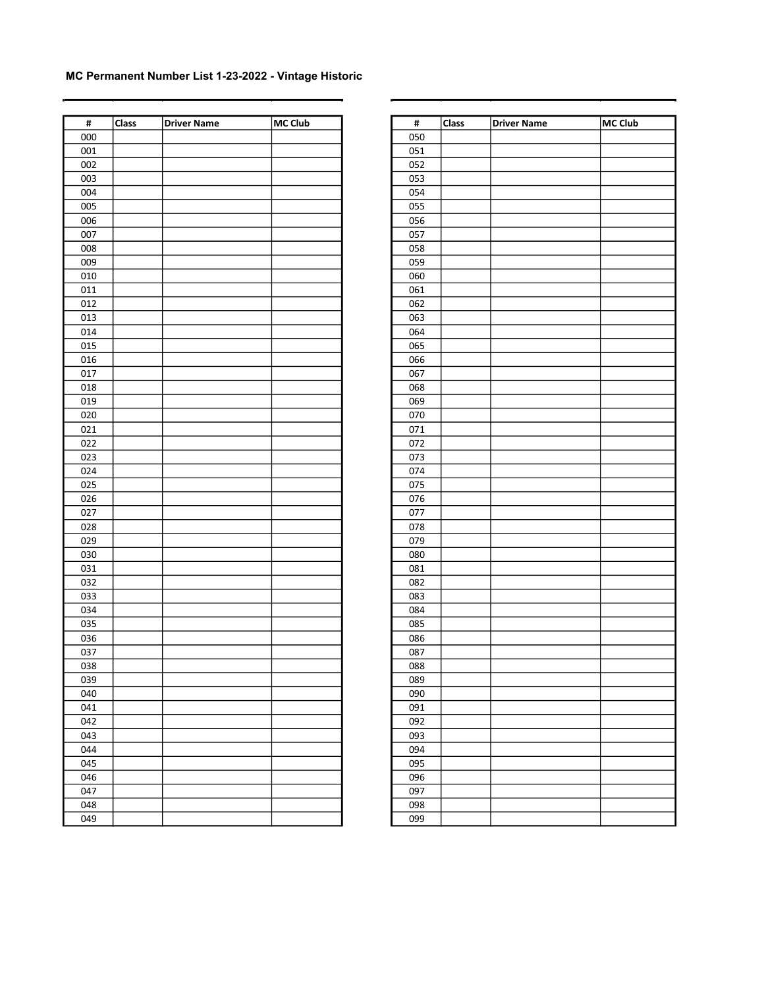| $\overline{\mathbf{t}}$ | Class | <b>Driver Name</b> | <b>MC Club</b> | $\overline{\mathbf{H}}$ | <b>Class</b> | <b>Driver Name</b> | MC Club |
|-------------------------|-------|--------------------|----------------|-------------------------|--------------|--------------------|---------|
| 000                     |       |                    |                | 050                     |              |                    |         |
| 001                     |       |                    |                | 051                     |              |                    |         |
| 002                     |       |                    |                | 052                     |              |                    |         |
| 003                     |       |                    |                | 053                     |              |                    |         |
| 004                     |       |                    |                | 054                     |              |                    |         |
|                         |       |                    |                |                         |              |                    |         |
| 005                     |       |                    |                | 055                     |              |                    |         |
| 006                     |       |                    |                | 056                     |              |                    |         |
| 007                     |       |                    |                | 057                     |              |                    |         |
| 008                     |       |                    |                | 058                     |              |                    |         |
| 009                     |       |                    |                | 059                     |              |                    |         |
| 010                     |       |                    |                | 060                     |              |                    |         |
| 011                     |       |                    |                | 061                     |              |                    |         |
| 012                     |       |                    |                | 062                     |              |                    |         |
| 013                     |       |                    |                | 063                     |              |                    |         |
| 014                     |       |                    |                | 064                     |              |                    |         |
| 015                     |       |                    |                | 065                     |              |                    |         |
| 016                     |       |                    |                | 066                     |              |                    |         |
| 017                     |       |                    |                | 067                     |              |                    |         |
| 018                     |       |                    |                | 068                     |              |                    |         |
| 019                     |       |                    |                | 069                     |              |                    |         |
| 020                     |       |                    |                | 070                     |              |                    |         |
| 021                     |       |                    |                | 071                     |              |                    |         |
| 022                     |       |                    |                | 072                     |              |                    |         |
| 023                     |       |                    |                | 073                     |              |                    |         |
| 024                     |       |                    |                | 074                     |              |                    |         |
| 025                     |       |                    |                | 075                     |              |                    |         |
| 026                     |       |                    |                | 076                     |              |                    |         |
| 027                     |       |                    |                | 077                     |              |                    |         |
| 028                     |       |                    |                | 078                     |              |                    |         |
| 029                     |       |                    |                | 079                     |              |                    |         |
| 030                     |       |                    |                | 080                     |              |                    |         |
| 031                     |       |                    |                | 081                     |              |                    |         |
| 032                     |       |                    |                | 082                     |              |                    |         |
| 033                     |       |                    |                | 083                     |              |                    |         |
| 034                     |       |                    |                | 084                     |              |                    |         |
| 035                     |       |                    |                | 085                     |              |                    |         |
| 036                     |       |                    |                | 086                     |              |                    |         |
| 037                     |       |                    |                | 087                     |              |                    |         |
| 038                     |       |                    |                | 088                     |              |                    |         |
| 039                     |       |                    |                | 089                     |              |                    |         |
| 040                     |       |                    |                | 090                     |              |                    |         |
| 041                     |       |                    |                | 091                     |              |                    |         |
|                         |       |                    |                |                         |              |                    |         |
| 042                     |       |                    |                | 092                     |              |                    |         |
| 043                     |       |                    |                | 093                     |              |                    |         |
| 044                     |       |                    |                | 094                     |              |                    |         |
| 045                     |       |                    |                | 095                     |              |                    |         |
| 046                     |       |                    |                | 096                     |              |                    |         |
| 047                     |       |                    |                | 097                     |              |                    |         |
| 048                     |       |                    |                | 098                     |              |                    |         |
| 049                     |       |                    |                | 099                     |              |                    |         |

| #   | Class | <b>Driver Name</b> | <b>MC Club</b> |
|-----|-------|--------------------|----------------|
| 050 |       |                    |                |
| 051 |       |                    |                |
| 052 |       |                    |                |
| 053 |       |                    |                |
| 054 |       |                    |                |
| 055 |       |                    |                |
| 056 |       |                    |                |
| 057 |       |                    |                |
| 058 |       |                    |                |
| 059 |       |                    |                |
| 060 |       |                    |                |
| 061 |       |                    |                |
| 062 |       |                    |                |
| 063 |       |                    |                |
| 064 |       |                    |                |
| 065 |       |                    |                |
| 066 |       |                    |                |
| 067 |       |                    |                |
| 068 |       |                    |                |
| 069 |       |                    |                |
| 070 |       |                    |                |
| 071 |       |                    |                |
| 072 |       |                    |                |
| 073 |       |                    |                |
| 074 |       |                    |                |
| 075 |       |                    |                |
| 076 |       |                    |                |
| 077 |       |                    |                |
| 078 |       |                    |                |
| 079 |       |                    |                |
| 080 |       |                    |                |
| 081 |       |                    |                |
| 082 |       |                    |                |
| 083 |       |                    |                |
| 084 |       |                    |                |
| 085 |       |                    |                |
| 086 |       |                    |                |
| 087 |       |                    |                |
| 088 |       |                    |                |
| 089 |       |                    |                |
| 090 |       |                    |                |
| 091 |       |                    |                |
| 092 |       |                    |                |
| 093 |       |                    |                |
| 094 |       |                    |                |
| 095 |       |                    |                |
| 096 |       |                    |                |
| 097 |       |                    |                |
| 098 |       |                    |                |
| 099 |       |                    |                |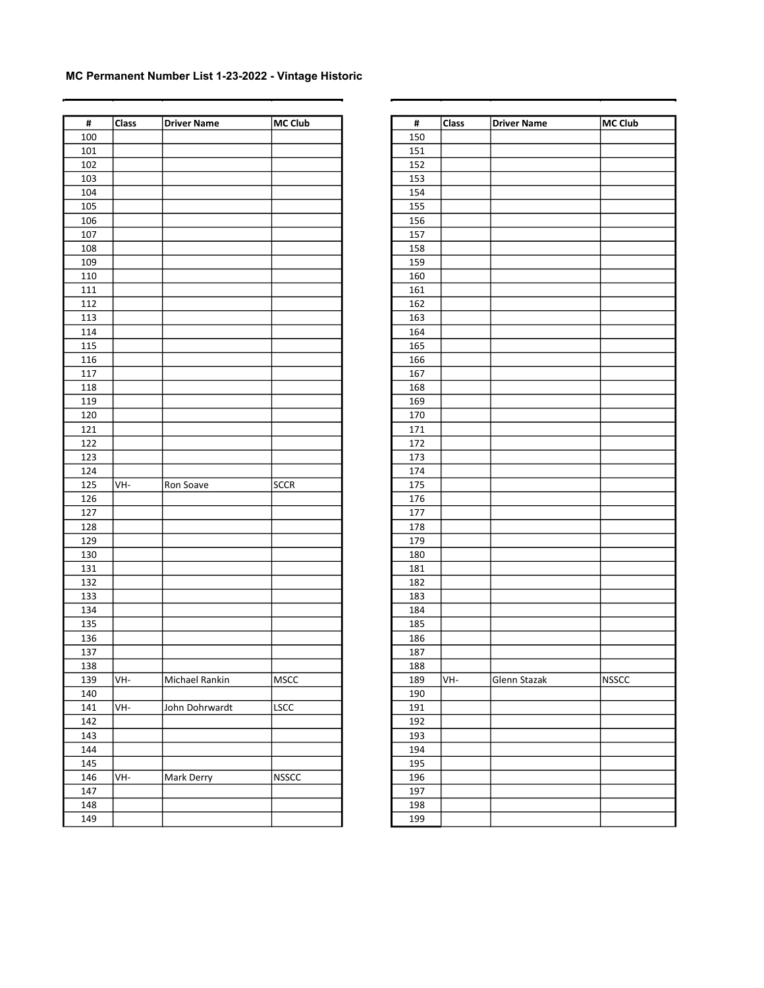| $\pmb{\sharp}$ | Class | Driver Name    | MC Club      | $\pmb{\sharp}$ | <b>Class</b> | <b>Driver Name</b> | MC Club |
|----------------|-------|----------------|--------------|----------------|--------------|--------------------|---------|
| 100            |       |                |              | 150            |              |                    |         |
| 101            |       |                |              | 151            |              |                    |         |
| 102            |       |                |              | 152            |              |                    |         |
| 103            |       |                |              | 153            |              |                    |         |
| 104            |       |                |              | 154            |              |                    |         |
| 105            |       |                |              | 155            |              |                    |         |
| 106            |       |                |              | 156            |              |                    |         |
| 107            |       |                |              | 157            |              |                    |         |
| 108            |       |                |              | 158            |              |                    |         |
| 109            |       |                |              | 159            |              |                    |         |
| 110            |       |                |              | 160            |              |                    |         |
| $111\,$        |       |                |              | 161            |              |                    |         |
| 112            |       |                |              | 162            |              |                    |         |
| 113            |       |                |              | 163            |              |                    |         |
| 114            |       |                |              | 164            |              |                    |         |
| 115            |       |                |              | 165            |              |                    |         |
| 116            |       |                |              | 166            |              |                    |         |
| $117\,$        |       |                |              | 167            |              |                    |         |
| 118            |       |                |              | 168            |              |                    |         |
| 119            |       |                |              | 169            |              |                    |         |
| 120            |       |                |              | 170            |              |                    |         |
| 121            |       |                |              | 171            |              |                    |         |
| 122            |       |                |              | 172            |              |                    |         |
| 123            |       |                |              | 173            |              |                    |         |
|                |       |                |              | 174            |              |                    |         |
| 124<br>125     |       |                | SCCR         |                |              |                    |         |
|                | VH-   | Ron Soave      |              | 175            |              |                    |         |
| 126            |       |                |              | 176            |              |                    |         |
| 127<br>128     |       |                |              | 177<br>178     |              |                    |         |
| 129            |       |                |              | 179            |              |                    |         |
| 130            |       |                |              |                |              |                    |         |
|                |       |                |              | 180            |              |                    |         |
| 131            |       |                |              | 181            |              |                    |         |
| 132            |       |                |              | 182            |              |                    |         |
| 133            |       |                |              | 183            |              |                    |         |
| 134            |       |                |              | 184            |              |                    |         |
| 135            |       |                |              | 185            |              |                    |         |
| 136            |       |                |              | 186            |              |                    |         |
| 137            |       |                |              | 187            |              |                    |         |
| 138            |       |                |              | 188            |              |                    |         |
| 139            | VH-   | Michael Rankin | MSCC         | 189            | VH-          | Glenn Stazak       | NSSCC   |
| 140            |       |                |              | 190            |              |                    |         |
| 141            | VH-   | John Dohrwardt | <b>LSCC</b>  | 191            |              |                    |         |
| 142            |       |                |              | 192            |              |                    |         |
| 143            |       |                |              | 193            |              |                    |         |
| 144            |       |                |              | 194            |              |                    |         |
| 145            |       |                |              | 195            |              |                    |         |
| 146            | VH-   | Mark Derry     | <b>NSSCC</b> | 196            |              |                    |         |
| 147            |       |                |              | 197            |              |                    |         |
| 148            |       |                |              | 198            |              |                    |         |
| 149            |       |                |              | 199            |              |                    |         |

| #   | Class | <b>Driver Name</b> | <b>MC Club</b> |
|-----|-------|--------------------|----------------|
| 150 |       |                    |                |
| 151 |       |                    |                |
| 152 |       |                    |                |
| 153 |       |                    |                |
| 154 |       |                    |                |
| 155 |       |                    |                |
| 156 |       |                    |                |
| 157 |       |                    |                |
| 158 |       |                    |                |
| 159 |       |                    |                |
| 160 |       |                    |                |
| 161 |       |                    |                |
| 162 |       |                    |                |
| 163 |       |                    |                |
| 164 |       |                    |                |
| 165 |       |                    |                |
| 166 |       |                    |                |
| 167 |       |                    |                |
| 168 |       |                    |                |
| 169 |       |                    |                |
| 170 |       |                    |                |
| 171 |       |                    |                |
| 172 |       |                    |                |
| 173 |       |                    |                |
| 174 |       |                    |                |
| 175 |       |                    |                |
| 176 |       |                    |                |
| 177 |       |                    |                |
| 178 |       |                    |                |
| 179 |       |                    |                |
| 180 |       |                    |                |
| 181 |       |                    |                |
| 182 |       |                    |                |
| 183 |       |                    |                |
| 184 |       |                    |                |
| 185 |       |                    |                |
| 186 |       |                    |                |
| 187 |       |                    |                |
| 188 |       |                    |                |
| 189 | VH-   | Glenn Stazak       | <b>NSSCC</b>   |
| 190 |       |                    |                |
| 191 |       |                    |                |
| 192 |       |                    |                |
| 193 |       |                    |                |
| 194 |       |                    |                |
| 195 |       |                    |                |
|     |       |                    |                |
| 196 |       |                    |                |
| 197 |       |                    |                |
| 198 |       |                    |                |
| 199 |       |                    |                |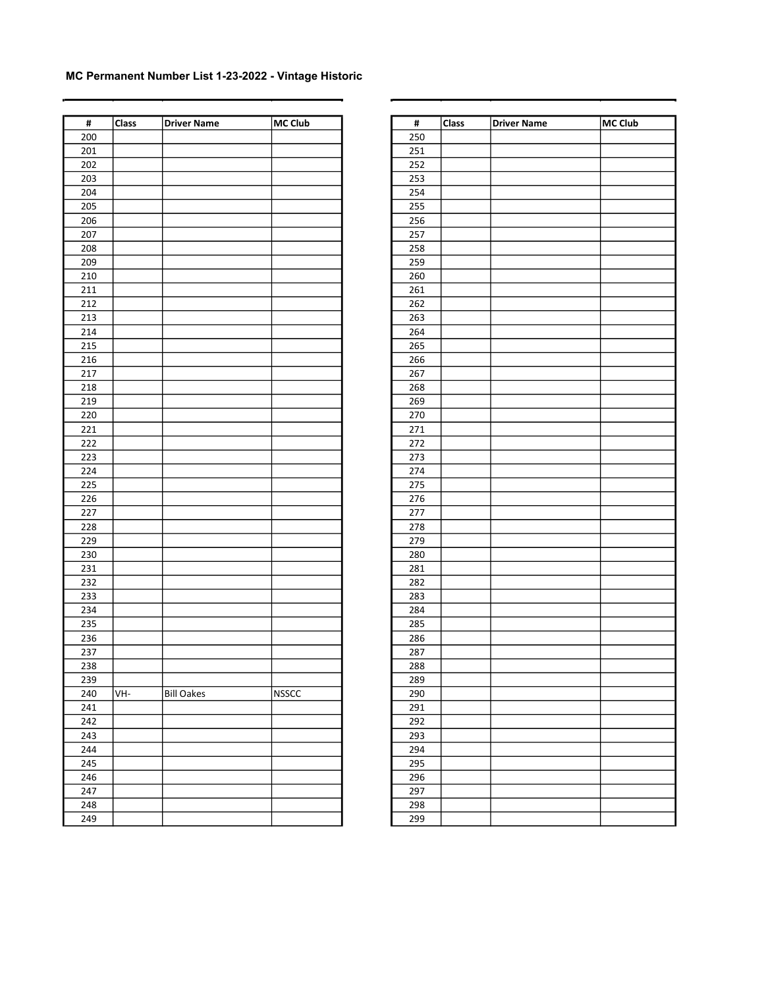| $\pmb{\sharp}$ | Class | Driver Name       | MC Club      | $\pmb{\sharp}$ | <b>Class</b> | <b>Driver Name</b> | MC Club |
|----------------|-------|-------------------|--------------|----------------|--------------|--------------------|---------|
| 200            |       |                   |              | 250            |              |                    |         |
| 201            |       |                   |              | 251            |              |                    |         |
| 202            |       |                   |              | 252            |              |                    |         |
| 203            |       |                   |              | 253            |              |                    |         |
| 204            |       |                   |              | 254            |              |                    |         |
| 205            |       |                   |              | 255            |              |                    |         |
| 206            |       |                   |              | 256            |              |                    |         |
| 207            |       |                   |              | 257            |              |                    |         |
| 208            |       |                   |              | 258            |              |                    |         |
| 209            |       |                   |              | 259            |              |                    |         |
| 210            |       |                   |              | 260            |              |                    |         |
| 211            |       |                   |              | 261            |              |                    |         |
| 212            |       |                   |              | 262            |              |                    |         |
| 213            |       |                   |              | 263            |              |                    |         |
| 214            |       |                   |              | 264            |              |                    |         |
| 215            |       |                   |              | 265            |              |                    |         |
| 216            |       |                   |              | 266            |              |                    |         |
| 217            |       |                   |              | 267            |              |                    |         |
|                |       |                   |              |                |              |                    |         |
| 218            |       |                   |              | 268            |              |                    |         |
| 219            |       |                   |              | 269            |              |                    |         |
| 220            |       |                   |              | 270            |              |                    |         |
| 221            |       |                   |              | 271            |              |                    |         |
| 222            |       |                   |              | 272            |              |                    |         |
| 223            |       |                   |              | 273            |              |                    |         |
| 224            |       |                   |              | 274            |              |                    |         |
| 225            |       |                   |              | 275            |              |                    |         |
| 226            |       |                   |              | 276            |              |                    |         |
| 227            |       |                   |              | 277            |              |                    |         |
| 228            |       |                   |              | 278            |              |                    |         |
| 229            |       |                   |              | 279            |              |                    |         |
| 230            |       |                   |              | 280            |              |                    |         |
| 231            |       |                   |              | 281            |              |                    |         |
| 232            |       |                   |              | 282            |              |                    |         |
| 233            |       |                   |              | 283            |              |                    |         |
| 234            |       |                   |              | 284            |              |                    |         |
| 235            |       |                   |              | 285            |              |                    |         |
| 236            |       |                   |              | 286            |              |                    |         |
| 237            |       |                   |              | 287            |              |                    |         |
| 238            |       |                   |              | 288            |              |                    |         |
| 239            |       |                   |              | 289            |              |                    |         |
| 240            | VH-   | <b>Bill Oakes</b> | <b>NSSCC</b> | 290            |              |                    |         |
| 241            |       |                   |              | 291            |              |                    |         |
| 242            |       |                   |              | 292            |              |                    |         |
| 243            |       |                   |              | 293            |              |                    |         |
| 244            |       |                   |              | 294            |              |                    |         |
| 245            |       |                   |              | 295            |              |                    |         |
| 246            |       |                   |              | 296            |              |                    |         |
| 247            |       |                   |              | 297            |              |                    |         |
| 248            |       |                   |              | 298            |              |                    |         |
| 249            |       |                   |              | 299            |              |                    |         |

| #          | Class | <b>Driver Name</b> | <b>MC Club</b> |
|------------|-------|--------------------|----------------|
| 250        |       |                    |                |
| 251        |       |                    |                |
| 252        |       |                    |                |
| 253        |       |                    |                |
| 254        |       |                    |                |
| 255        |       |                    |                |
| 256        |       |                    |                |
| 257        |       |                    |                |
| 258        |       |                    |                |
| 259        |       |                    |                |
| 260        |       |                    |                |
| 261        |       |                    |                |
| 262        |       |                    |                |
| 263        |       |                    |                |
| 264        |       |                    |                |
| 265        |       |                    |                |
| 266        |       |                    |                |
| 267        |       |                    |                |
| 268        |       |                    |                |
|            |       |                    |                |
| 269<br>270 |       |                    |                |
| 271        |       |                    |                |
| 272        |       |                    |                |
| 273        |       |                    |                |
| 274        |       |                    |                |
| 275        |       |                    |                |
| 276        |       |                    |                |
|            |       |                    |                |
| 277<br>278 |       |                    |                |
| 279        |       |                    |                |
| 280        |       |                    |                |
| 281        |       |                    |                |
| 282        |       |                    |                |
| 283        |       |                    |                |
| 284        |       |                    |                |
| 285        |       |                    |                |
| 286        |       |                    |                |
| 287        |       |                    |                |
| 288        |       |                    |                |
| 289        |       |                    |                |
| 290        |       |                    |                |
| 291        |       |                    |                |
| 292        |       |                    |                |
| 293        |       |                    |                |
| 294        |       |                    |                |
| 295        |       |                    |                |
| 296        |       |                    |                |
| 297        |       |                    |                |
| 298        |       |                    |                |
| 299        |       |                    |                |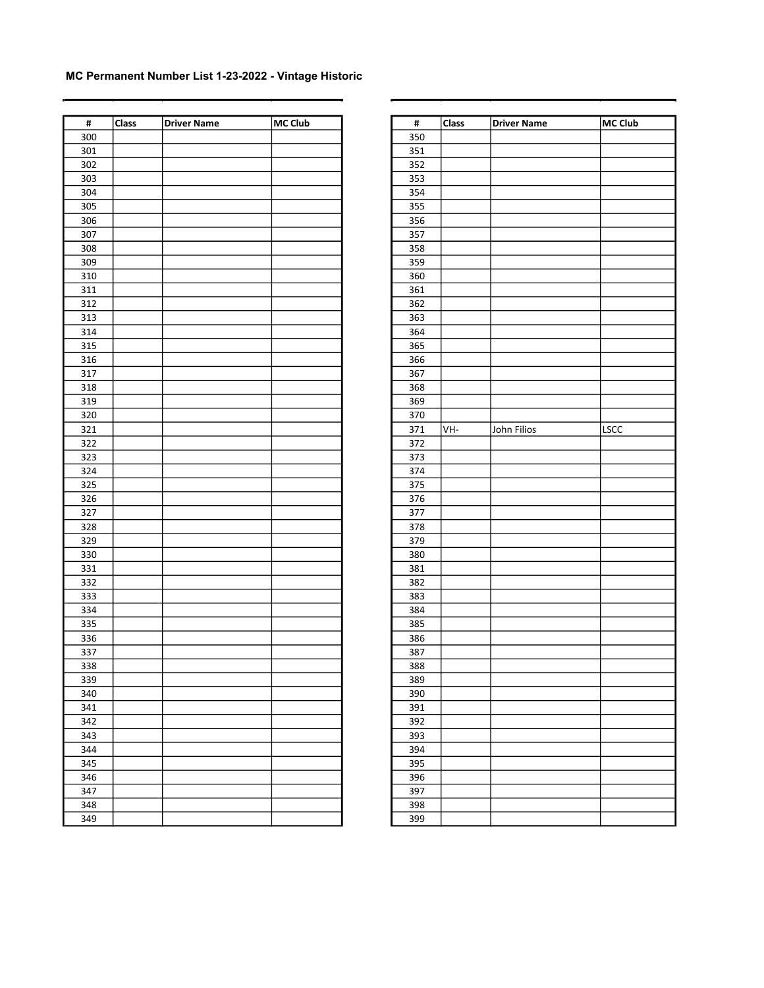| $\pmb{\sharp}$   | Class | <b>Driver Name</b> | MC Club | $\pmb{\sharp}$ | Class | <b>Driver Name</b> | MC Club |
|------------------|-------|--------------------|---------|----------------|-------|--------------------|---------|
| 300              |       |                    |         | 350            |       |                    |         |
| 301              |       |                    |         | 351            |       |                    |         |
| 302              |       |                    |         | 352            |       |                    |         |
| $\overline{303}$ |       |                    |         | 353            |       |                    |         |
| 304              |       |                    |         | 354            |       |                    |         |
| 305              |       |                    |         | 355            |       |                    |         |
| 306              |       |                    |         | 356            |       |                    |         |
| 307              |       |                    |         | 357            |       |                    |         |
| 308              |       |                    |         | 358            |       |                    |         |
| 309              |       |                    |         | 359            |       |                    |         |
| 310              |       |                    |         | 360            |       |                    |         |
| 311              |       |                    |         | 361            |       |                    |         |
| 312              |       |                    |         | 362            |       |                    |         |
| 313              |       |                    |         | 363            |       |                    |         |
| 314              |       |                    |         | 364            |       |                    |         |
| 315              |       |                    |         | 365            |       |                    |         |
| 316              |       |                    |         | 366            |       |                    |         |
| 317              |       |                    |         |                |       |                    |         |
|                  |       |                    |         | 367            |       |                    |         |
| 318              |       |                    |         | 368            |       |                    |         |
| 319              |       |                    |         | 369            |       |                    |         |
| 320              |       |                    |         | 370            |       |                    |         |
| 321              |       |                    |         | 371            | VH-   | John Filios        | LSCC    |
| 322              |       |                    |         | 372            |       |                    |         |
| 323              |       |                    |         | 373            |       |                    |         |
| 324              |       |                    |         | 374            |       |                    |         |
| 325              |       |                    |         | 375            |       |                    |         |
| 326              |       |                    |         | 376            |       |                    |         |
| 327              |       |                    |         | 377            |       |                    |         |
| 328              |       |                    |         | 378            |       |                    |         |
| 329              |       |                    |         | 379            |       |                    |         |
| 330              |       |                    |         | 380            |       |                    |         |
| 331              |       |                    |         | 381            |       |                    |         |
| 332              |       |                    |         | 382            |       |                    |         |
| 333              |       |                    |         | 383            |       |                    |         |
| 334              |       |                    |         | 384            |       |                    |         |
| 335              |       |                    |         | 385            |       |                    |         |
| 336              |       |                    |         | 386            |       |                    |         |
| 337              |       |                    |         | 387            |       |                    |         |
| 338              |       |                    |         | 388            |       |                    |         |
| 339              |       |                    |         | 389            |       |                    |         |
| 340              |       |                    |         | 390            |       |                    |         |
| 341              |       |                    |         | 391            |       |                    |         |
| 342              |       |                    |         | 392            |       |                    |         |
| 343              |       |                    |         | 393            |       |                    |         |
| 344              |       |                    |         | 394            |       |                    |         |
| 345              |       |                    |         | 395            |       |                    |         |
| 346              |       |                    |         | 396            |       |                    |         |
| 347              |       |                    |         | 397            |       |                    |         |
| 348              |       |                    |         | 398            |       |                    |         |
| 349              |       |                    |         | 399            |       |                    |         |

| #        | Class | <b>Driver Name</b> | <b>MC Club</b> |
|----------|-------|--------------------|----------------|
| 350      |       |                    |                |
| 351      |       |                    |                |
| 352      |       |                    |                |
| 353      |       |                    |                |
| 354      |       |                    |                |
| 355      |       |                    |                |
| 356      |       |                    |                |
| 357      |       |                    |                |
| 358      |       |                    |                |
| 359      |       |                    |                |
| 360      |       |                    |                |
| 361      |       |                    |                |
| 362      |       |                    |                |
| 363      |       |                    |                |
| 364      |       |                    |                |
| 365      |       |                    |                |
| 366      |       |                    |                |
| 367      |       |                    |                |
| 368      |       |                    |                |
| 369      |       |                    |                |
| 370      |       |                    |                |
| 371      | VH-   | John Filios        | LSCC           |
| 372      |       |                    |                |
| 373      |       |                    |                |
| 374      |       |                    |                |
| 375      |       |                    |                |
| 376      |       |                    |                |
| 377      |       |                    |                |
| 378      |       |                    |                |
| 379      |       |                    |                |
| 380      |       |                    |                |
| 381      |       |                    |                |
| 382      |       |                    |                |
| 383      |       |                    |                |
| 384      |       |                    |                |
| 385      |       |                    |                |
| 386      |       |                    |                |
| 387      |       |                    |                |
| 388      |       |                    |                |
| 389      |       |                    |                |
| 390      |       |                    |                |
| 391      |       |                    |                |
| 392      |       |                    |                |
| 393      |       |                    |                |
| 394      |       |                    |                |
| 395      |       |                    |                |
| 396      |       |                    |                |
| 397      |       |                    |                |
| -<br>398 |       |                    |                |
| 399      |       |                    |                |
|          |       |                    |                |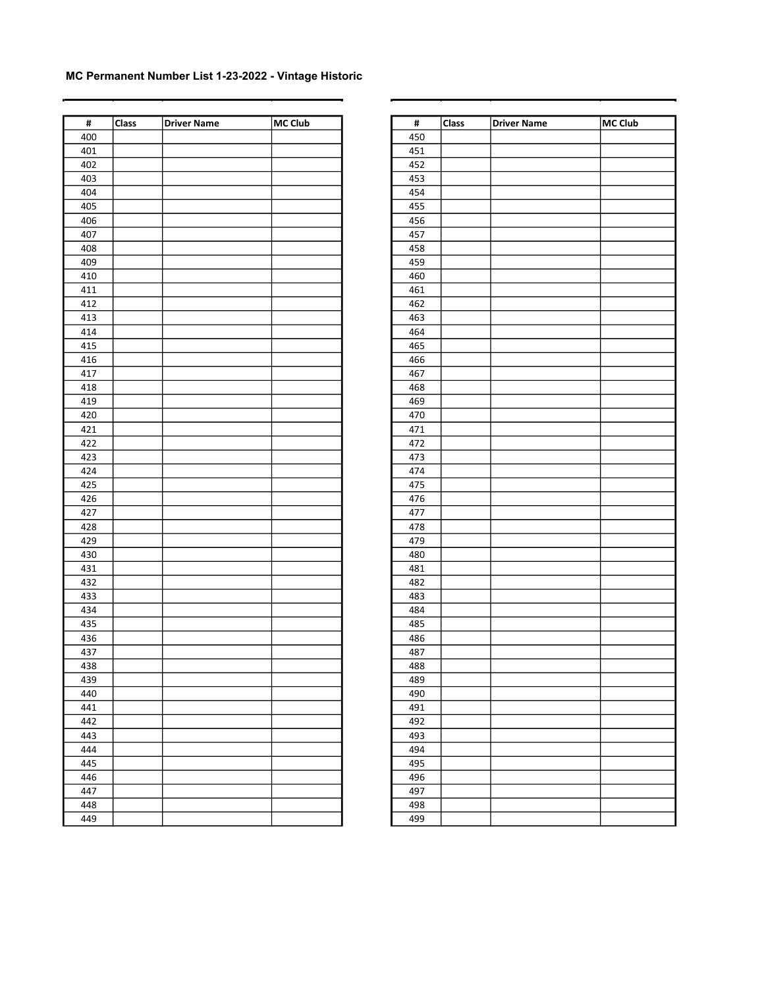| $\pmb{\sharp}$ | Class | <b>Driver Name</b> | MC Club | $\pmb{\sharp}$ | <b>Class</b> | <b>Driver Name</b> | MC Club |
|----------------|-------|--------------------|---------|----------------|--------------|--------------------|---------|
| 400            |       |                    |         | 450            |              |                    |         |
| 401            |       |                    |         | 451            |              |                    |         |
| 402            |       |                    |         | 452            |              |                    |         |
| 403            |       |                    |         | 453            |              |                    |         |
| 404            |       |                    |         | 454            |              |                    |         |
| 405            |       |                    |         | 455            |              |                    |         |
| 406            |       |                    |         | 456            |              |                    |         |
| 407            |       |                    |         | 457            |              |                    |         |
| 408            |       |                    |         | 458            |              |                    |         |
| 409            |       |                    |         | 459            |              |                    |         |
| 410            |       |                    |         | 460            |              |                    |         |
| 411            |       |                    |         | 461            |              |                    |         |
| 412            |       |                    |         | 462            |              |                    |         |
| 413            |       |                    |         | 463            |              |                    |         |
| 414            |       |                    |         | 464            |              |                    |         |
| 415            |       |                    |         | 465            |              |                    |         |
| 416            |       |                    |         | 466            |              |                    |         |
| 417            |       |                    |         | 467            |              |                    |         |
| 418            |       |                    |         | 468            |              |                    |         |
| 419            |       |                    |         | 469            |              |                    |         |
| 420            |       |                    |         | 470            |              |                    |         |
| 421            |       |                    |         | 471            |              |                    |         |
| 422            |       |                    |         | 472            |              |                    |         |
| 423            |       |                    |         | 473            |              |                    |         |
| 424            |       |                    |         | 474            |              |                    |         |
| 425            |       |                    |         | 475            |              |                    |         |
| 426            |       |                    |         |                |              |                    |         |
| 427            |       |                    |         | 476<br>477     |              |                    |         |
| 428            |       |                    |         | 478            |              |                    |         |
| 429            |       |                    |         | 479            |              |                    |         |
|                |       |                    |         |                |              |                    |         |
| 430            |       |                    |         | 480            |              |                    |         |
| 431            |       |                    |         | 481            |              |                    |         |
| 432            |       |                    |         | 482            |              |                    |         |
| 433            |       |                    |         | 483            |              |                    |         |
| 434            |       |                    |         | 484            |              |                    |         |
| 435            |       |                    |         | 485            |              |                    |         |
| 436            |       |                    |         | 486            |              |                    |         |
| 437            |       |                    |         | 487            |              |                    |         |
| 438            |       |                    |         | 488            |              |                    |         |
| 439            |       |                    |         | 489            |              |                    |         |
| 440            |       |                    |         | 490            |              |                    |         |
| 441            |       |                    |         | 491            |              |                    |         |
| 442            |       |                    |         | 492            |              |                    |         |
| 443            |       |                    |         | 493            |              |                    |         |
| 444            |       |                    |         | 494            |              |                    |         |
| 445            |       |                    |         | 495            |              |                    |         |
| 446            |       |                    |         | 496            |              |                    |         |
| 447            |       |                    |         | 497            |              |                    |         |
| 448            |       |                    |         | 498            |              |                    |         |
| 449            |       |                    |         | 499            |              |                    |         |

| #   | Class | <b>Driver Name</b> | <b>MC Club</b> |
|-----|-------|--------------------|----------------|
| 450 |       |                    |                |
|     |       |                    |                |
| 451 |       |                    |                |
| 452 |       |                    |                |
| 453 |       |                    |                |
| 454 |       |                    |                |
| 455 |       |                    |                |
| 456 |       |                    |                |
| 457 |       |                    |                |
| 458 |       |                    |                |
| 459 |       |                    |                |
| 460 |       |                    |                |
| 461 |       |                    |                |
| 462 |       |                    |                |
| 463 |       |                    |                |
| 464 |       |                    |                |
| 465 |       |                    |                |
| 466 |       |                    |                |
| 467 |       |                    |                |
| 468 |       |                    |                |
| 469 |       |                    |                |
| 470 |       |                    |                |
| 471 |       |                    |                |
| 472 |       |                    |                |
| 473 |       |                    |                |
| 474 |       |                    |                |
| 475 |       |                    |                |
| 476 |       |                    |                |
| 477 |       |                    |                |
| 478 |       |                    |                |
| 479 |       |                    |                |
| 480 |       |                    |                |
| 481 |       |                    |                |
| 482 |       |                    |                |
| 483 |       |                    |                |
| 484 |       |                    |                |
| 485 |       |                    |                |
| 486 |       |                    |                |
| 487 |       |                    |                |
| 488 |       |                    |                |
| 489 |       |                    |                |
| 490 |       |                    |                |
| 491 |       |                    |                |
| 492 |       |                    |                |
| 493 |       |                    |                |
| 494 |       |                    |                |
| 495 |       |                    |                |
| 496 |       |                    |                |
| 497 |       |                    |                |
| 498 |       |                    |                |
| 499 |       |                    |                |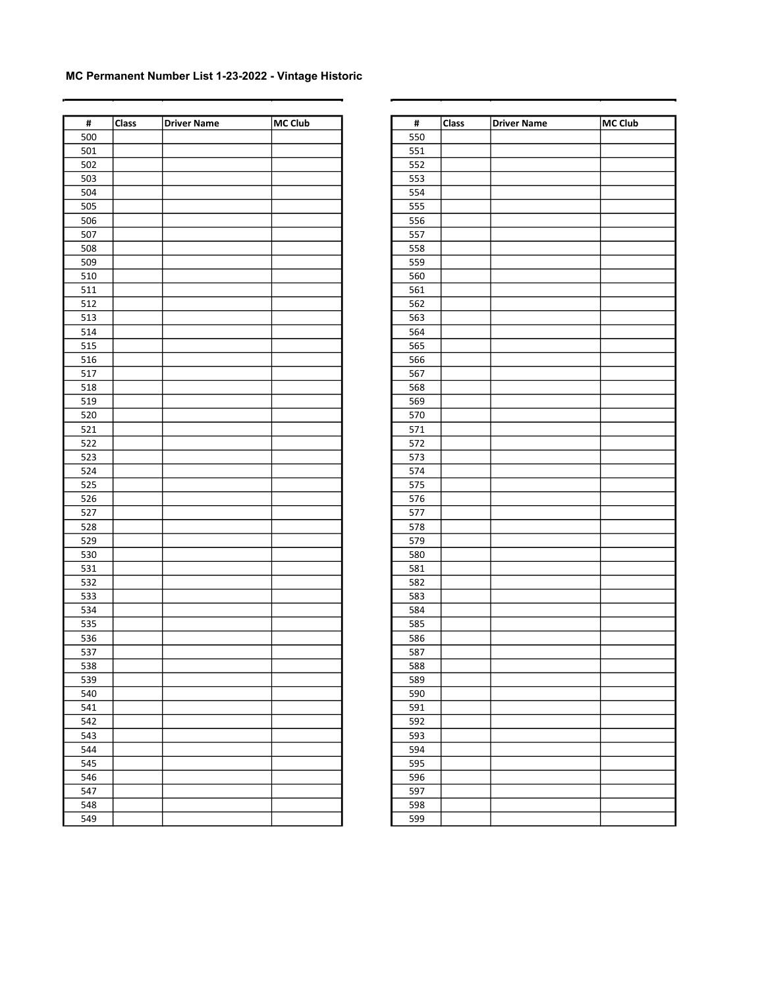| $\pmb{\sharp}$ | Class | <b>Driver Name</b> | MC Club | $\pmb{\sharp}$ | <b>Class</b> | <b>Driver Name</b> | MC Club |
|----------------|-------|--------------------|---------|----------------|--------------|--------------------|---------|
| 500            |       |                    |         | 550            |              |                    |         |
| 501            |       |                    |         | 551            |              |                    |         |
| 502            |       |                    |         | 552            |              |                    |         |
| 503            |       |                    |         | 553            |              |                    |         |
| 504            |       |                    |         | 554            |              |                    |         |
| 505            |       |                    |         | 555            |              |                    |         |
| 506            |       |                    |         | 556            |              |                    |         |
| 507            |       |                    |         | 557            |              |                    |         |
| 508            |       |                    |         | 558            |              |                    |         |
| 509            |       |                    |         | 559            |              |                    |         |
| 510            |       |                    |         | 560            |              |                    |         |
| 511            |       |                    |         | 561            |              |                    |         |
| 512            |       |                    |         | 562            |              |                    |         |
| 513            |       |                    |         | 563            |              |                    |         |
| 514            |       |                    |         | 564            |              |                    |         |
| 515            |       |                    |         | 565            |              |                    |         |
| 516            |       |                    |         | 566            |              |                    |         |
| 517            |       |                    |         | 567            |              |                    |         |
| 518            |       |                    |         | 568            |              |                    |         |
| 519            |       |                    |         | 569            |              |                    |         |
| 520            |       |                    |         | 570            |              |                    |         |
| 521            |       |                    |         | 571            |              |                    |         |
| 522            |       |                    |         | 572            |              |                    |         |
| 523            |       |                    |         | 573            |              |                    |         |
| 524            |       |                    |         | 574            |              |                    |         |
| 525            |       |                    |         | 575            |              |                    |         |
| 526            |       |                    |         |                |              |                    |         |
| 527            |       |                    |         | 576<br>577     |              |                    |         |
| 528            |       |                    |         | 578            |              |                    |         |
| 529            |       |                    |         | 579            |              |                    |         |
| 530            |       |                    |         |                |              |                    |         |
|                |       |                    |         | 580            |              |                    |         |
| 531            |       |                    |         | 581            |              |                    |         |
| 532            |       |                    |         | 582            |              |                    |         |
| 533            |       |                    |         | 583            |              |                    |         |
| 534            |       |                    |         | 584            |              |                    |         |
| 535            |       |                    |         | 585            |              |                    |         |
| 536            |       |                    |         | 586            |              |                    |         |
| 537            |       |                    |         | 587            |              |                    |         |
| 538            |       |                    |         | 588            |              |                    |         |
| 539            |       |                    |         | 589            |              |                    |         |
| 540            |       |                    |         | 590            |              |                    |         |
| 541            |       |                    |         | 591            |              |                    |         |
| 542            |       |                    |         | 592            |              |                    |         |
| 543            |       |                    |         | 593            |              |                    |         |
| 544            |       |                    |         | 594            |              |                    |         |
| 545            |       |                    |         | 595            |              |                    |         |
| 546            |       |                    |         | 596            |              |                    |         |
| 547            |       |                    |         | 597            |              |                    |         |
| 548            |       |                    |         | 598            |              |                    |         |
| 549            |       |                    |         | 599            |              |                    |         |

| #   | Class | <b>Driver Name</b> | <b>MC Club</b> |
|-----|-------|--------------------|----------------|
| 550 |       |                    |                |
| 551 |       |                    |                |
| 552 |       |                    |                |
| 553 |       |                    |                |
| 554 |       |                    |                |
| 555 |       |                    |                |
| 556 |       |                    |                |
| 557 |       |                    |                |
| 558 |       |                    |                |
| 559 |       |                    |                |
| 560 |       |                    |                |
| 561 |       |                    |                |
| 562 |       |                    |                |
| 563 |       |                    |                |
| 564 |       |                    |                |
| 565 |       |                    |                |
| 566 |       |                    |                |
| 567 |       |                    |                |
| 568 |       |                    |                |
| 569 |       |                    |                |
| 570 |       |                    |                |
| 571 |       |                    |                |
| 572 |       |                    |                |
| 573 |       |                    |                |
| 574 |       |                    |                |
| 575 |       |                    |                |
| 576 |       |                    |                |
| 577 |       |                    |                |
| 578 |       |                    |                |
| 579 |       |                    |                |
| 580 |       |                    |                |
| 581 |       |                    |                |
| 582 |       |                    |                |
| 583 |       |                    |                |
| 584 |       |                    |                |
| 585 |       |                    |                |
| 586 |       |                    |                |
| 587 |       |                    |                |
| 588 |       |                    |                |
| 589 |       |                    |                |
| 590 |       |                    |                |
| 591 |       |                    |                |
| 592 |       |                    |                |
| 593 |       |                    |                |
| 594 |       |                    |                |
| 595 |       |                    |                |
| 596 |       |                    |                |
| 597 |       |                    |                |
| 598 |       |                    |                |
| 599 |       |                    |                |
|     |       |                    |                |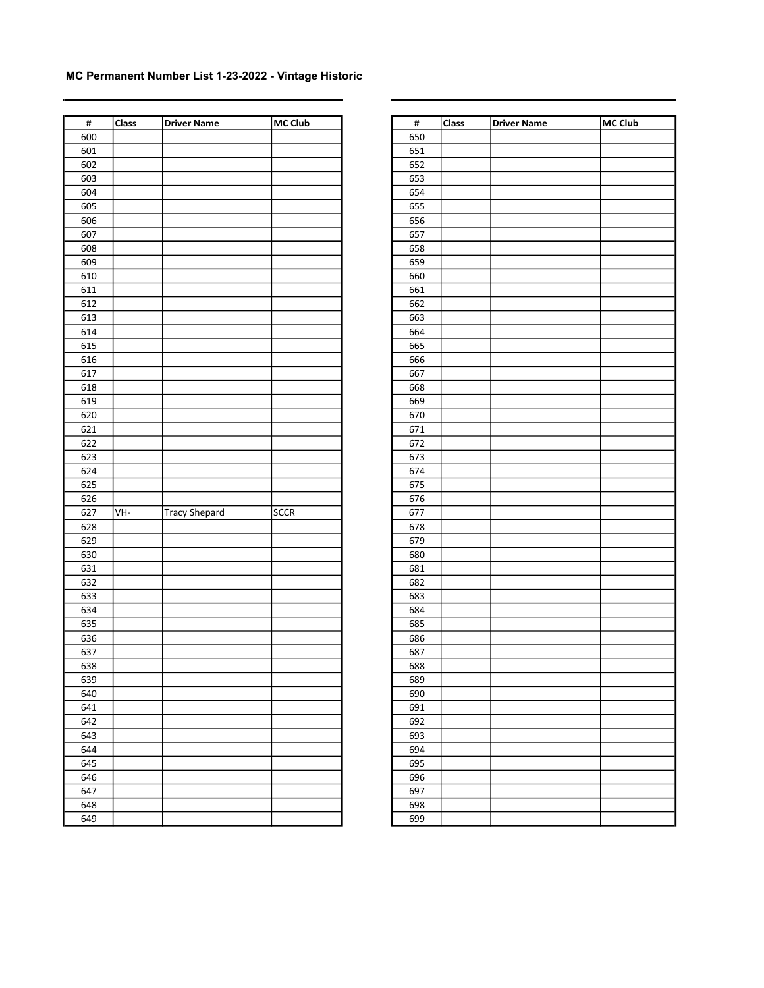| $\pmb{\sharp}$ | Class | <b>Driver Name</b>   | MC Club     |
|----------------|-------|----------------------|-------------|
| 600            |       |                      |             |
| 601            |       |                      |             |
| 602            |       |                      |             |
| 603            |       |                      |             |
| 604            |       |                      |             |
|                |       |                      |             |
| 605            |       |                      |             |
| 606            |       |                      |             |
| 607            |       |                      |             |
| 608            |       |                      |             |
| 609            |       |                      |             |
| 610            |       |                      |             |
| 611            |       |                      |             |
| 612            |       |                      |             |
| 613            |       |                      |             |
| 614            |       |                      |             |
| 615            |       |                      |             |
| 616            |       |                      |             |
| 617            |       |                      |             |
| 618            |       |                      |             |
| 619            |       |                      |             |
| 620            |       |                      |             |
|                |       |                      |             |
| 621            |       |                      |             |
| 622            |       |                      |             |
| 623            |       |                      |             |
| 624            |       |                      |             |
| 625            |       |                      |             |
| 626            |       |                      |             |
| 627            | VH-   | <b>Tracy Shepard</b> | <b>SCCR</b> |
| 628            |       |                      |             |
| 629            |       |                      |             |
| 630            |       |                      |             |
| 631            |       |                      |             |
| 632            |       |                      |             |
| 633            |       |                      |             |
| 634            |       |                      |             |
| 635            |       |                      |             |
| 636            |       |                      |             |
| 637            |       |                      |             |
| 638            |       |                      |             |
|                |       |                      |             |
| 639            |       |                      |             |
| 640            |       |                      |             |
| 641            |       |                      |             |
| 642            |       |                      |             |
| 643            |       |                      |             |
| 644            |       |                      |             |
| 645            |       |                      |             |
| 646            |       |                      |             |
| 647            |       |                      |             |
| 648            |       |                      |             |
| 649            |       |                      |             |
|                |       |                      |             |

| #   | Class | <b>Driver Name</b> | <b>MC Club</b> |
|-----|-------|--------------------|----------------|
| 650 |       |                    |                |
| 651 |       |                    |                |
| 652 |       |                    |                |
| 653 |       |                    |                |
| 654 |       |                    |                |
| 655 |       |                    |                |
| 656 |       |                    |                |
| 657 |       |                    |                |
| 658 |       |                    |                |
| 659 |       |                    |                |
| 660 |       |                    |                |
| 661 |       |                    |                |
| 662 |       |                    |                |
| 663 |       |                    |                |
| 664 |       |                    |                |
| 665 |       |                    |                |
| 666 |       |                    |                |
| 667 |       |                    |                |
| 668 |       |                    |                |
| 669 |       |                    |                |
| 670 |       |                    |                |
| 671 |       |                    |                |
| 672 |       |                    |                |
| 673 |       |                    |                |
| 674 |       |                    |                |
| 675 |       |                    |                |
| 676 |       |                    |                |
| 677 |       |                    |                |
| 678 |       |                    |                |
| 679 |       |                    |                |
| 680 |       |                    |                |
| 681 |       |                    |                |
| 682 |       |                    |                |
| 683 |       |                    |                |
| 684 |       |                    |                |
| 685 |       |                    |                |
| 686 |       |                    |                |
| 687 |       |                    |                |
| 688 |       |                    |                |
| 689 |       |                    |                |
| 690 |       |                    |                |
| 691 |       |                    |                |
| 692 |       |                    |                |
| 693 |       |                    |                |
| 694 |       |                    |                |
| 695 |       |                    |                |
| 696 |       |                    |                |
| 697 |       |                    |                |
| 698 |       |                    |                |
| 699 |       |                    |                |
|     |       |                    |                |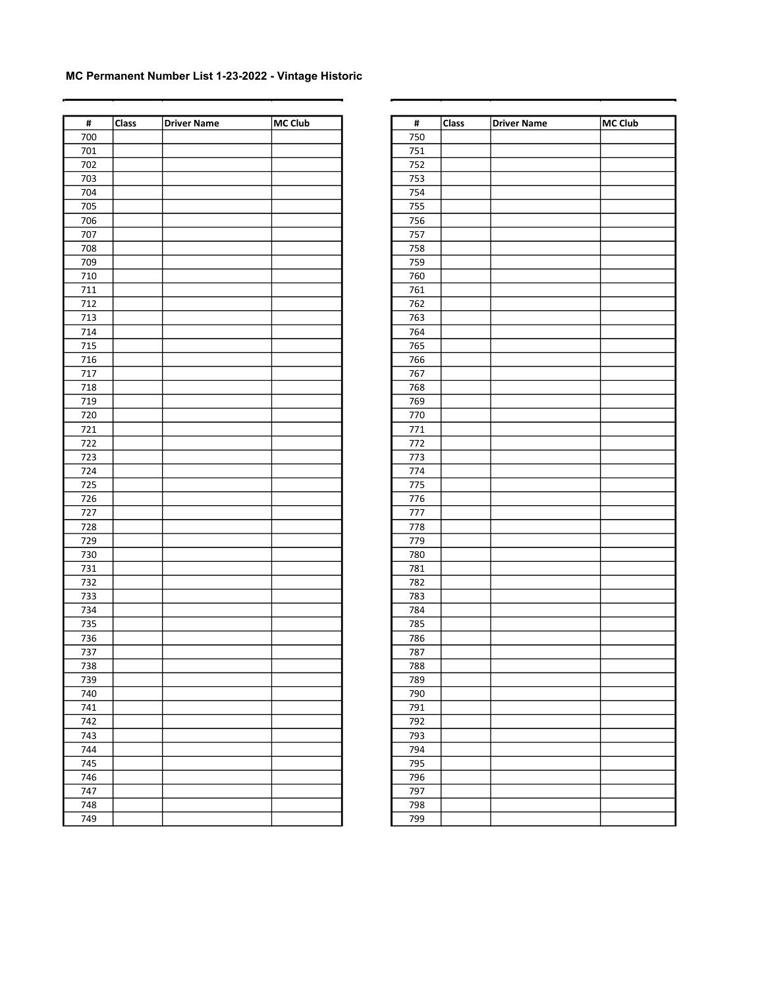| $\pmb{\sharp}$ | Class | <b>Driver Name</b> | MC Club | $\pmb{\sharp}$ | <b>Class</b> | <b>Driver Name</b> | MC Club |
|----------------|-------|--------------------|---------|----------------|--------------|--------------------|---------|
| 700            |       |                    |         | 750            |              |                    |         |
| 701            |       |                    |         | 751            |              |                    |         |
| 702            |       |                    |         | 752            |              |                    |         |
| 703            |       |                    |         | 753            |              |                    |         |
| 704            |       |                    |         | 754            |              |                    |         |
| 705            |       |                    |         | 755            |              |                    |         |
| 706            |       |                    |         | 756            |              |                    |         |
| 707            |       |                    |         | 757            |              |                    |         |
| 708            |       |                    |         | 758            |              |                    |         |
| 709            |       |                    |         | 759            |              |                    |         |
| 710            |       |                    |         | 760            |              |                    |         |
| $711\,$        |       |                    |         | 761            |              |                    |         |
| 712            |       |                    |         | 762            |              |                    |         |
| 713            |       |                    |         | 763            |              |                    |         |
| 714            |       |                    |         | 764            |              |                    |         |
| 715            |       |                    |         | 765            |              |                    |         |
| 716            |       |                    |         | 766            |              |                    |         |
| 717            |       |                    |         | 767            |              |                    |         |
| 718            |       |                    |         | 768            |              |                    |         |
| 719            |       |                    |         | 769            |              |                    |         |
| 720            |       |                    |         | 770            |              |                    |         |
| 721            |       |                    |         | 771            |              |                    |         |
| 722            |       |                    |         | 772            |              |                    |         |
| 723            |       |                    |         | 773            |              |                    |         |
| 724            |       |                    |         | 774            |              |                    |         |
| 725            |       |                    |         | 775            |              |                    |         |
| 726            |       |                    |         | 776            |              |                    |         |
| 727            |       |                    |         | 777            |              |                    |         |
| 728            |       |                    |         | 778            |              |                    |         |
| 729            |       |                    |         | 779            |              |                    |         |
| 730            |       |                    |         |                |              |                    |         |
|                |       |                    |         | 780            |              |                    |         |
| 731<br>732     |       |                    |         | 781<br>782     |              |                    |         |
|                |       |                    |         |                |              |                    |         |
| 733            |       |                    |         | 783            |              |                    |         |
| 734            |       |                    |         | 784            |              |                    |         |
| 735            |       |                    |         | 785            |              |                    |         |
| 736            |       |                    |         | 786            |              |                    |         |
| 737            |       |                    |         | 787            |              |                    |         |
| 738            |       |                    |         | 788            |              |                    |         |
| 739            |       |                    |         | 789            |              |                    |         |
| 740            |       |                    |         | 790            |              |                    |         |
| 741            |       |                    |         | 791            |              |                    |         |
| 742            |       |                    |         | 792            |              |                    |         |
| 743            |       |                    |         | 793            |              |                    |         |
| 744            |       |                    |         | 794            |              |                    |         |
| 745            |       |                    |         | 795            |              |                    |         |
| 746            |       |                    |         | 796            |              |                    |         |
| 747            |       |                    |         | 797            |              |                    |         |
| 748            |       |                    |         | 798            |              |                    |         |
| 749            |       |                    |         | 799            |              |                    |         |

| #          | Class | <b>Driver Name</b> | <b>MC Club</b> |
|------------|-------|--------------------|----------------|
| 750        |       |                    |                |
| 751        |       |                    |                |
| 752        |       |                    |                |
| 753        |       |                    |                |
| 754        |       |                    |                |
| 755        |       |                    |                |
| 756        |       |                    |                |
| 757        |       |                    |                |
| 758        |       |                    |                |
| 759        |       |                    |                |
| 760        |       |                    |                |
| 761        |       |                    |                |
| 762        |       |                    |                |
| 763        |       |                    |                |
| 764        |       |                    |                |
| 765        |       |                    |                |
| 766        |       |                    |                |
| 767        |       |                    |                |
| 768        |       |                    |                |
| 769        |       |                    |                |
| 770        |       |                    |                |
| 771        |       |                    |                |
| 772        |       |                    |                |
| 773        |       |                    |                |
| 774        |       |                    |                |
| 775        |       |                    |                |
| 776        |       |                    |                |
| 777        |       |                    |                |
| 778        |       |                    |                |
| 779        |       |                    |                |
| 780        |       |                    |                |
| 781        |       |                    |                |
| 782        |       |                    |                |
| 783        |       |                    |                |
| 784        |       |                    |                |
| 785        |       |                    |                |
| 786        |       |                    |                |
| 787        |       |                    |                |
| 788        |       |                    |                |
| 789        |       |                    |                |
| 790        |       |                    |                |
| 791        |       |                    |                |
| 792        |       |                    |                |
| 793        |       |                    |                |
| 794        |       |                    |                |
| 795        |       |                    |                |
| 796        |       |                    |                |
| 797        |       |                    |                |
|            |       |                    |                |
| 798<br>799 |       |                    |                |
|            |       |                    |                |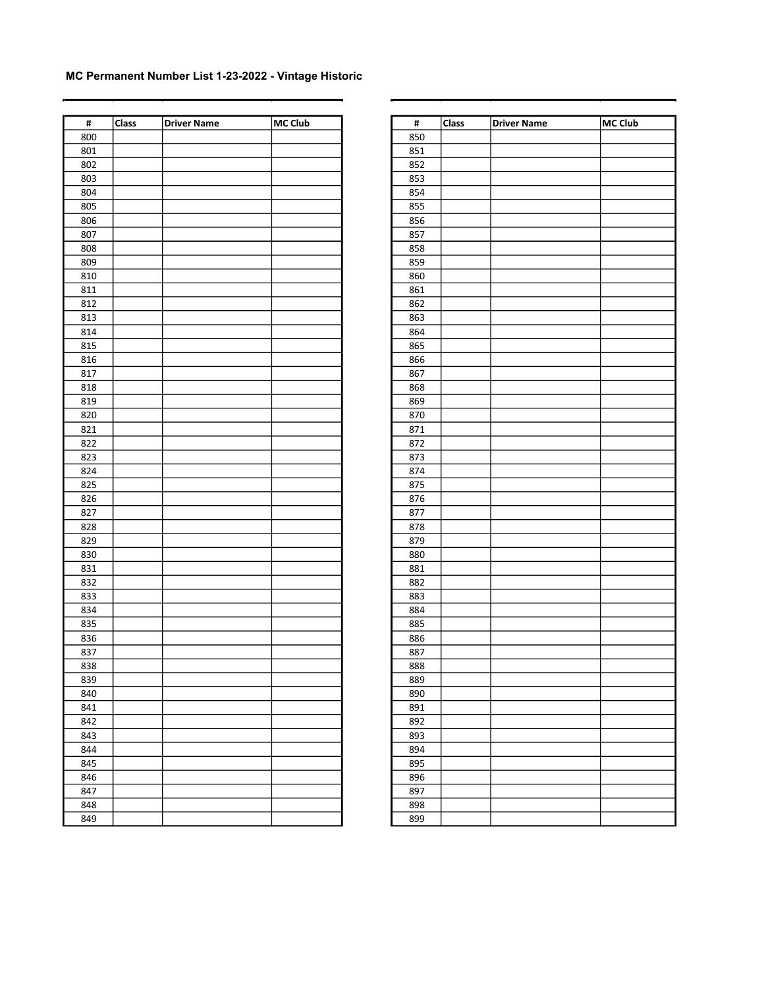| $\pmb{\sharp}$ | <b>Class</b> | <b>Driver Name</b> | MC Club | $\pmb{\sharp}$ | <b>Class</b> | <b>Driver Name</b> | MC Club |
|----------------|--------------|--------------------|---------|----------------|--------------|--------------------|---------|
| 800            |              |                    |         | 850            |              |                    |         |
| 801            |              |                    |         | 851            |              |                    |         |
| 802            |              |                    |         | 852            |              |                    |         |
| 803            |              |                    |         | 853            |              |                    |         |
| 804            |              |                    |         | 854            |              |                    |         |
| 805            |              |                    |         | 855            |              |                    |         |
| 806            |              |                    |         | 856            |              |                    |         |
| 807            |              |                    |         | 857            |              |                    |         |
| 808            |              |                    |         | 858            |              |                    |         |
| 809            |              |                    |         | 859            |              |                    |         |
| 810            |              |                    |         | 860            |              |                    |         |
| 811            |              |                    |         | 861            |              |                    |         |
| 812            |              |                    |         | 862            |              |                    |         |
| 813            |              |                    |         | 863            |              |                    |         |
| 814            |              |                    |         | 864            |              |                    |         |
| 815            |              |                    |         | 865            |              |                    |         |
| 816            |              |                    |         | 866            |              |                    |         |
| 817            |              |                    |         | 867            |              |                    |         |
| 818            |              |                    |         | 868            |              |                    |         |
| 819            |              |                    |         | 869            |              |                    |         |
| 820            |              |                    |         | 870            |              |                    |         |
| 821            |              |                    |         | 871            |              |                    |         |
| 822            |              |                    |         | 872            |              |                    |         |
| 823            |              |                    |         | 873            |              |                    |         |
| 824            |              |                    |         | 874            |              |                    |         |
| 825            |              |                    |         | 875            |              |                    |         |
| 826            |              |                    |         | 876            |              |                    |         |
| 827            |              |                    |         | 877            |              |                    |         |
| 828            |              |                    |         | 878            |              |                    |         |
| 829            |              |                    |         | 879            |              |                    |         |
| 830            |              |                    |         | 880            |              |                    |         |
| 831            |              |                    |         | 881            |              |                    |         |
| 832            |              |                    |         | 882            |              |                    |         |
| 833            |              |                    |         | 883            |              |                    |         |
| 834            |              |                    |         | 884            |              |                    |         |
| 835            |              |                    |         |                |              |                    |         |
| 836            |              |                    |         | 885<br>886     |              |                    |         |
| 837            |              |                    |         | 887            |              |                    |         |
| 838            |              |                    |         | 888            |              |                    |         |
|                |              |                    |         | 889            |              |                    |         |
| 839            |              |                    |         |                |              |                    |         |
| 840            |              |                    |         | 890            |              |                    |         |
| 841            |              |                    |         | 891            |              |                    |         |
| 842            |              |                    |         | 892            |              |                    |         |
| 843            |              |                    |         | 893            |              |                    |         |
| 844            |              |                    |         | 894            |              |                    |         |
| 845            |              |                    |         | 895            |              |                    |         |
| 846            |              |                    |         | 896            |              |                    |         |
| 847            |              |                    |         | 897            |              |                    |         |
| 848            |              |                    |         | 898            |              |                    |         |
| 849            |              |                    |         | 899            |              |                    |         |

| #   | Class | <b>Driver Name</b> | <b>MC Club</b> |
|-----|-------|--------------------|----------------|
| 850 |       |                    |                |
| 851 |       |                    |                |
| 852 |       |                    |                |
| 853 |       |                    |                |
| 854 |       |                    |                |
| 855 |       |                    |                |
| 856 |       |                    |                |
| 857 |       |                    |                |
| 858 |       |                    |                |
| 859 |       |                    |                |
| 860 |       |                    |                |
| 861 |       |                    |                |
| 862 |       |                    |                |
| 863 |       |                    |                |
| 864 |       |                    |                |
| 865 |       |                    |                |
| 866 |       |                    |                |
| 867 |       |                    |                |
| 868 |       |                    |                |
| 869 |       |                    |                |
| 870 |       |                    |                |
| 871 |       |                    |                |
| 872 |       |                    |                |
| 873 |       |                    |                |
| 874 |       |                    |                |
| 875 |       |                    |                |
| 876 |       |                    |                |
| 877 |       |                    |                |
| 878 |       |                    |                |
| 879 |       |                    |                |
| 880 |       |                    |                |
| 881 |       |                    |                |
| 882 |       |                    |                |
| 883 |       |                    |                |
| 884 |       |                    |                |
| 885 |       |                    |                |
| 886 |       |                    |                |
| 887 |       |                    |                |
| 888 |       |                    |                |
| 889 |       |                    |                |
| 890 |       |                    |                |
| 891 |       |                    |                |
| 892 |       |                    |                |
| 893 |       |                    |                |
| 894 |       |                    |                |
| 895 |       |                    |                |
| 896 |       |                    |                |
| 897 |       |                    |                |
| 898 |       |                    |                |
| 899 |       |                    |                |
|     |       |                    |                |